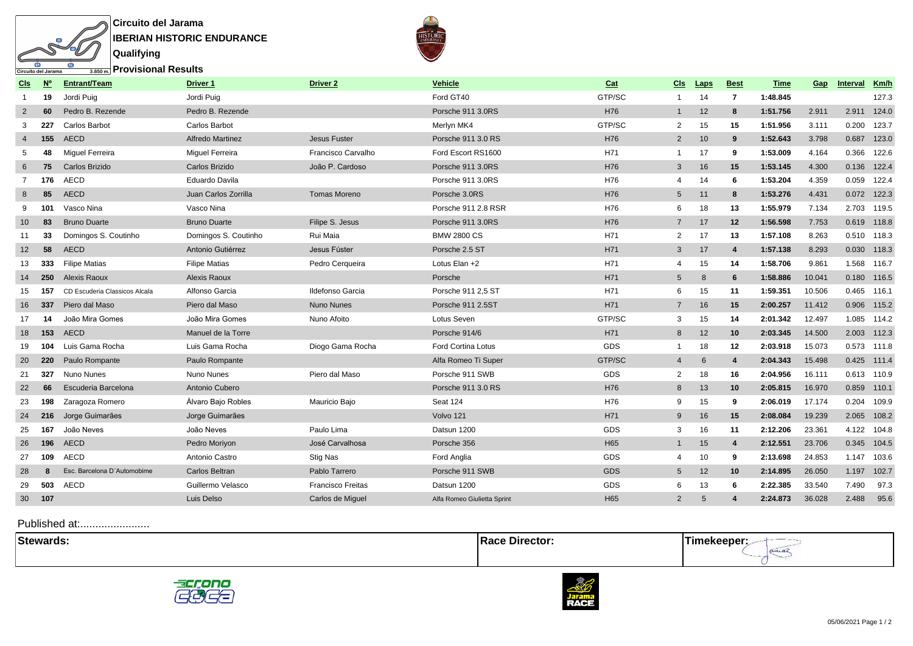

 $\frac{1}{\sqrt{2}}$  Provisional Results

**Qualifying**

**CER** 

ъ

क

Circuito del Jarama

| Cls             | <b>N°</b> | Entrant/Team                  | Driver 1             | <b>Driver 2</b>          | <b>Vehicle</b>              | Cat             | Cls             | Laps | <b>Best</b>      | Time     | Gap    | Interval    | Km/h        |
|-----------------|-----------|-------------------------------|----------------------|--------------------------|-----------------------------|-----------------|-----------------|------|------------------|----------|--------|-------------|-------------|
| $\overline{1}$  | 19        | Jordi Puig                    | Jordi Puia           |                          | Ford GT40                   | GTP/SC          | $\mathbf{1}$    | 14   | 7                | 1:48.845 |        |             | 127.3       |
| $\overline{2}$  | 60        | Pedro B. Rezende              | Pedro B. Rezende     |                          | Porsche 911 3.0RS           | H76             | $\mathbf{1}$    | 12   | 8                | 1:51.756 | 2.911  | 2.911       | 124.0       |
| 3               | 227       | <b>Carlos Barbot</b>          | <b>Carlos Barbot</b> |                          | Merlyn MK4                  | GTP/SC          | $\overline{2}$  | 15   | 15               | 1:51.956 | 3.111  | 0.200       | 123.7       |
| 4               | 155       | AECD                          | Alfredo Martinez     | <b>Jesus Fuster</b>      | Porsche 911 3.0 RS          | H76             | $\overline{2}$  | 10   | 9                | 1:52.643 | 3.798  | 0.687       | 123.0       |
| 5               | 48        | <b>Miguel Ferreira</b>        | Miquel Ferreira      | Francisco Carvalho       | Ford Escort RS1600          | H71             | $\mathbf{1}$    | 17   | 9                | 1:53.009 | 4.164  | 0.366       | 122.6       |
| 6               | 75        | Carlos Brizido                | Carlos Brizido       | João P. Cardoso          | Porsche 911 3.0RS           | H76             | 3               | 16   | 15               | 1:53.145 | 4.300  | 0.136       | 122.4       |
| $\overline{7}$  | 176       | <b>AECD</b>                   | Eduardo Davila       |                          | Porsche 911 3.0RS           | H76             | $\overline{4}$  | 14   | 6                | 1:53.204 | 4.359  | 0.059       | 122.4       |
| 8               | 85        | <b>AECD</b>                   | Juan Carlos Zorrilla | Tomas Moreno             | Porsche 3.0RS               | H76             | $5\overline{)}$ | 11   | 8                | 1:53.276 | 4.431  | 0.072       | 122.3       |
| 9               | 101       | Vasco Nina                    | Vasco Nina           |                          | Porsche 911 2.8 RSR         | H76             | 6               | 18   | 13               | 1:55.979 | 7.134  | 2.703       | 119.5       |
| 10 <sup>°</sup> | 83        | <b>Bruno Duarte</b>           | <b>Bruno Duarte</b>  | Filipe S. Jesus          | Porsche 911 3.0RS           | H76             | $\overline{7}$  | 17   | 12               | 1:56.598 | 7.753  |             | 0.619 118.8 |
| 11              | 33        | Domingos S. Coutinho          | Domingos S. Coutinho | Rui Maia                 | <b>BMW 2800 CS</b>          | H71             | 2               | 17   | 13               | 1:57.108 | 8.263  |             | 0.510 118.3 |
| 12              | 58        | <b>AECD</b>                   | Antonio Gutiérrez    | Jesus Fúster             | Porsche 2.5 ST              | H71             | 3               | 17   | $\overline{4}$   | 1:57.138 | 8.293  | 0.030       | 118.3       |
| 13              | 333       | <b>Filipe Matias</b>          | <b>Filipe Matias</b> | Pedro Cerqueira          | Lotus Elan +2               | H71             | 4               | 15   | 14               | 1:58.706 | 9.861  | 1.568       | 116.7       |
| 14              | 250       | Alexis Raoux                  | Alexis Raoux         |                          | Porsche                     | H71             | 5               | 8    | 6                | 1:58.886 | 10.041 | 0.180 116.5 |             |
| 15              | 157       | CD Escuderia Classicos Alcala | Alfonso Garcia       | Ildefonso Garcia         | Porsche 911 2,5 ST          | H71             | 6               | 15   | 11               | 1:59.351 | 10.506 | 0.465       | 116.1       |
| 16              | 337       | Piero dal Maso                | Piero dal Maso       | Nuno Nunes               | Porsche 911 2.5ST           | H71             | $\overline{7}$  | 16   | 15               | 2:00.257 | 11.412 |             | 0.906 115.2 |
| 17              | 14        | João Mira Gomes               | João Mira Gomes      | Nuno Afoito              | Lotus Seven                 | GTP/SC          | 3               | 15   | 14               | 2:01.342 | 12.497 | 1.085       | 114.2       |
| 18              | 153       | AECD                          | Manuel de la Torre   |                          | Porsche 914/6               | H71             | 8               | 12   | 10               | 2:03.345 | 14.500 |             | 2.003 112.3 |
| 19              | 104       | Luis Gama Rocha               | Luis Gama Rocha      | Diogo Gama Rocha         | Ford Cortina Lotus          | GDS             | $\overline{1}$  | 18   | 12               | 2:03.918 | 15.073 | 0.573       | 111.8       |
| 20              | 220       | Paulo Rompante                | Paulo Rompante       |                          | Alfa Romeo Ti Super         | GTP/SC          | $\overline{4}$  | 6    | $\overline{4}$   | 2:04.343 | 15.498 | 0.425       | 111.4       |
| 21              | 327       | Nuno Nunes                    | Nuno Nunes           | Piero dal Maso           | Porsche 911 SWB             | GDS             | 2               | 18   | 16               | 2:04.956 | 16.111 |             | 0.613 110.9 |
| 22              | 66        | Escuderia Barcelona           | Antonio Cubero       |                          | Porsche 911 3.0 RS          | H76             | 8               | 13   | 10               | 2:05.815 | 16.970 | 0.859       | 110.1       |
| 23              | 198       | Zaragoza Romero               | Álvaro Bajo Robles   | Mauricio Baio            | Seat 124                    | H76             | 9               | 15   | 9                | 2:06.019 | 17.174 | 0.204       | 109.9       |
| 24              | 216       | Jorge Guimarães               | Jorge Guimarães      |                          | Volvo 121                   | H71             | 9               | 16   | 15               | 2:08.084 | 19.239 | 2.065       | 108.2       |
| 25              | 167       | João Neves                    | João Neves           | Paulo Lima               | Datsun 1200                 | GDS             | 3               | 16   | 11               | 2:12.206 | 23.361 | 4.122       | 104.8       |
| 26              | 196       | AECD                          | Pedro Moriyon        | José Carvalhosa          | Porsche 356                 | H <sub>65</sub> | $\mathbf{1}$    | 15   | $\overline{4}$   | 2:12.551 | 23.706 | 0.345       | 104.5       |
| 27              | 109       | <b>AECD</b>                   | Antonio Castro       | Stig Nas                 | Ford Anglia                 | GDS             | 4               | 10   | 9                | 2:13.698 | 24.853 | 1.147       | 103.6       |
| 28              | 8         | Esc. Barcelona D'Automobime   | Carlos Beltran       | Pablo Tarrero            | Porsche 911 SWB             | GDS             | $5\overline{)}$ | 12   | 10               | 2:14.895 | 26.050 | 1.197       | 102.7       |
| 29              | 503       | <b>AECD</b>                   | Guillermo Velasco    | <b>Francisco Freitas</b> | Datsun 1200                 | GDS             | 6               | 13   | 6                | 2:22.385 | 33.540 | 7.490       | 97.3        |
| 30 107          |           |                               | Luis Delso           | Carlos de Miguel         | Alfa Romeo Giulietta Sprint | H65             | $\overline{2}$  | 5    | $\boldsymbol{4}$ | 2:24.873 | 36.028 | 2.488       | 95.6        |
|                 |           |                               |                      |                          |                             |                 |                 |      |                  |          |        |             |             |

| <b>Stewa</b><br>vards. |  |
|------------------------|--|
|                        |  |



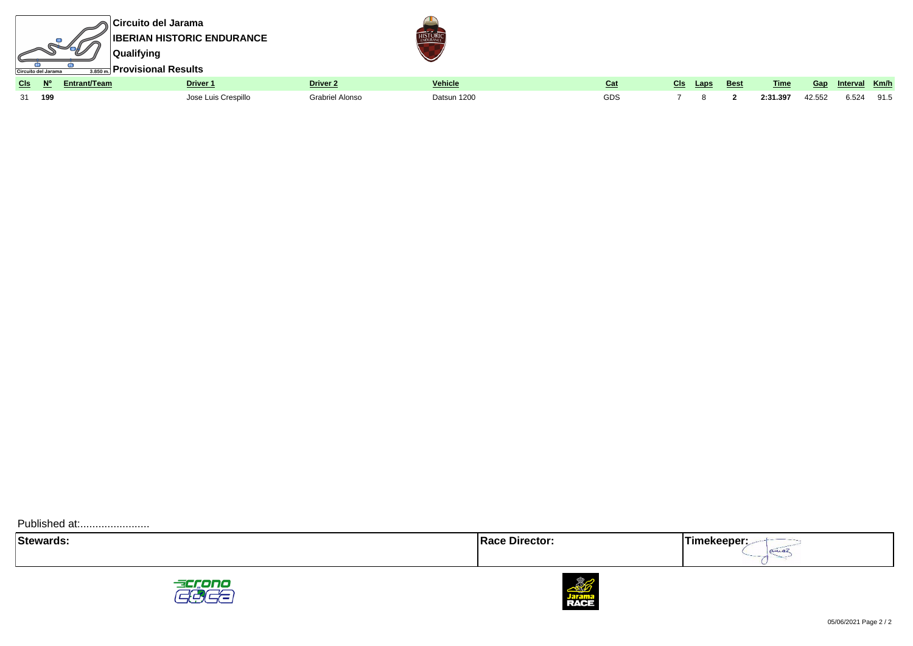





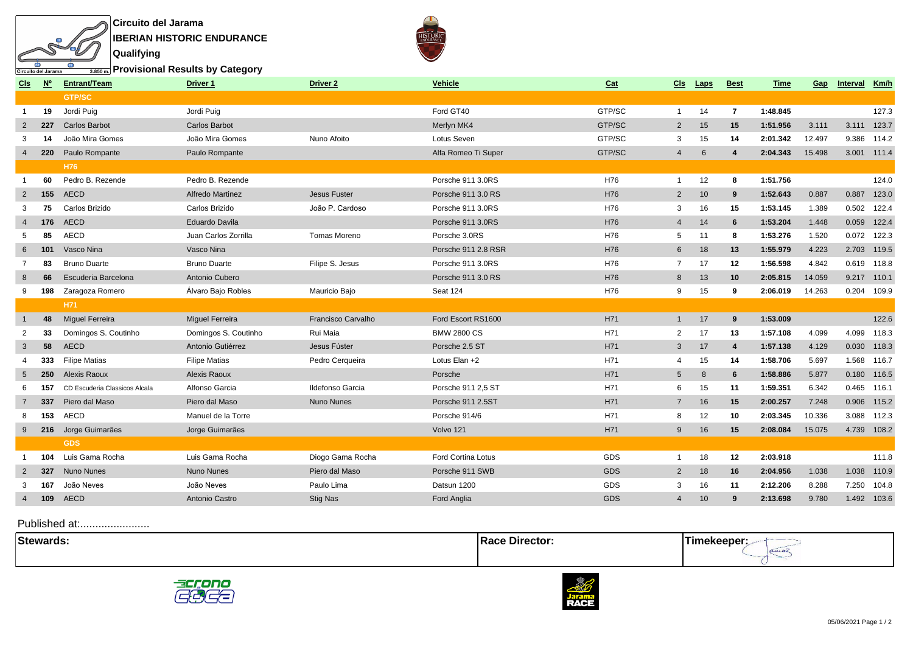

**Provisional Results by Category**

**Qualifying**

क

Circuito del Jarama

ъ

| Cls            | $\underline{\mathsf{N}}^{\mathsf{o}}$ | <b>Entrant/Team</b>           | Driver 1<br>Driver <sub>2</sub><br><b>Vehicle</b> |                    | Cat                       | Cls    | Laps            | <b>Best</b> | Time           | Gap      | Interval | Km/h        |       |
|----------------|---------------------------------------|-------------------------------|---------------------------------------------------|--------------------|---------------------------|--------|-----------------|-------------|----------------|----------|----------|-------------|-------|
|                |                                       | <b>GTP/SC</b>                 |                                                   |                    |                           |        |                 |             |                |          |          |             |       |
| -1             | 19                                    | Jordi Puig                    | Jordi Puig                                        |                    | Ford GT40                 | GTP/SC | $\mathbf{1}$    | 14          | $\overline{7}$ | 1:48.845 |          |             | 127.3 |
| 2              | 227                                   | <b>Carlos Barbot</b>          | <b>Carlos Barbot</b>                              |                    | Merlyn MK4                | GTP/SC | $\overline{2}$  | 15          | 15             | 1:51.956 | 3.111    | 3.111       | 123.7 |
| 3              | 14                                    | João Mira Gomes               | João Mira Gomes                                   | Nuno Afoito        | Lotus Seven               | GTP/SC | 3               | 15          | 14             | 2:01.342 | 12.497   | 9.386       | 114.2 |
| $\overline{4}$ | 220                                   | Paulo Rompante                | Paulo Rompante                                    |                    | Alfa Romeo Ti Super       | GTP/SC | $\overline{4}$  | 6           | 4              | 2:04.343 | 15.498   | 3.001 111.4 |       |
|                |                                       | H76                           |                                                   |                    |                           |        |                 |             |                |          |          |             |       |
|                | 60                                    | Pedro B. Rezende              | Pedro B. Rezende                                  |                    | Porsche 911 3.0RS         | H76    | $\mathbf{1}$    | 12          | 8              | 1:51.756 |          |             | 124.0 |
| 2              | 155                                   | AECD                          | <b>Alfredo Martinez</b>                           | Jesus Fuster       | Porsche 911 3.0 RS        | H76    | $\overline{2}$  | 10          | 9              | 1:52.643 | 0.887    | 0.887       | 123.0 |
| 3              | 75                                    | Carlos Brizido                | Carlos Brizido                                    | João P. Cardoso    | Porsche 911 3.0RS         | H76    | 3               | 16          | 15             | 1:53.145 | 1.389    | 0.502       | 122.4 |
| $\overline{4}$ | 176                                   | <b>AECD</b>                   | Eduardo Davila                                    |                    | Porsche 911 3.0RS         | H76    | $\overline{4}$  | 14          | 6              | 1:53.204 | 1.448    | 0.059       | 122.4 |
| 5              | 85                                    | <b>AECD</b>                   | Juan Carlos Zorrilla                              | Tomas Moreno       | Porsche 3.0RS             | H76    | 5               | 11          | 8              | 1:53.276 | 1.520    | 0.072 122.3 |       |
| 6              | 101                                   | Vasco Nina                    | Vasco Nina                                        |                    | Porsche 911 2.8 RSR       | H76    | 6               | 18          | 13             | 1:55.979 | 4.223    | 2.703       | 119.5 |
| 7              | 83                                    | <b>Bruno Duarte</b>           | <b>Bruno Duarte</b>                               | Filipe S. Jesus    | Porsche 911 3.0RS         | H76    | $\overline{7}$  | 17          | 12             | 1:56.598 | 4.842    | 0.619       | 118.8 |
| 8              | 66                                    | Escuderia Barcelona           | Antonio Cubero                                    |                    | Porsche 911 3.0 RS        | H76    | 8               | 13          | 10             | 2:05.815 | 14.059   | 9.217       | 110.1 |
| 9              | 198                                   | Zaragoza Romero               | Álvaro Bajo Robles                                | Mauricio Bajo      | Seat 124                  | H76    | 9               | 15          | 9              | 2:06.019 | 14.263   | 0.204 109.9 |       |
|                |                                       | H71                           |                                                   |                    |                           |        |                 |             |                |          |          |             |       |
|                | 48                                    | <b>Miquel Ferreira</b>        | <b>Miquel Ferreira</b>                            | Francisco Carvalho | Ford Escort RS1600        | H71    | $\mathbf{1}$    | 17          | 9              | 1:53.009 |          |             | 122.6 |
| 2              | 33                                    | Domingos S. Coutinho          | Domingos S. Coutinho                              | Rui Maia           | <b>BMW 2800 CS</b>        | H71    | $\overline{2}$  | 17          | 13             | 1:57.108 | 4.099    | 4.099       | 118.3 |
| 3              | 58                                    | AECD                          | Antonio Gutiérrez                                 | Jesus Fúster       | Porsche 2.5 ST            | H71    | 3               | 17          | $\overline{4}$ | 1:57.138 | 4.129    | 0.030       | 118.3 |
| 4              | 333                                   | <b>Filipe Matias</b>          | <b>Filipe Matias</b>                              | Pedro Cerqueira    | Lotus Elan +2             | H71    | $\overline{4}$  | 15          | 14             | 1:58.706 | 5.697    | 1.568       | 116.7 |
| 5              | 250                                   | Alexis Raoux                  | Alexis Raoux                                      |                    | Porsche                   | H71    | $5\overline{)}$ | 8           | 6              | 1:58.886 | 5.877    | 0.180 116.5 |       |
|                | 157                                   | CD Escuderia Classicos Alcala | Alfonso Garcia                                    | Ildefonso Garcia   | Porsche 911 2,5 ST        | H71    | 6               | 15          | 11             | 1:59.351 | 6.342    | 0.465       | 116.1 |
| 7              | 337                                   | Piero dal Maso                | Piero dal Maso                                    | Nuno Nunes         | Porsche 911 2.5ST         | H71    | $\overline{7}$  | 16          | 15             | 2:00.257 | 7.248    | 0.906 115.2 |       |
| 8              | 153                                   | <b>AECD</b>                   | Manuel de la Torre                                |                    | Porsche 914/6             | H71    | 8               | 12          | 10             | 2:03.345 | 10.336   | 3.088       | 112.3 |
| 9              | 216                                   | Jorge Guimarães               | Jorge Guimarães                                   |                    | Volvo 121                 | H71    | 9               | 16          | 15             | 2:08.084 | 15.075   | 4.739       | 108.2 |
|                |                                       | <b>GDS</b>                    |                                                   |                    |                           |        |                 |             |                |          |          |             |       |
|                | 104                                   | Luis Gama Rocha               | Luis Gama Rocha                                   | Diogo Gama Rocha   | <b>Ford Cortina Lotus</b> | GDS    | $\overline{1}$  | 18          | 12             | 2:03.918 |          |             | 111.8 |
| $\overline{2}$ | 327                                   | <b>Nuno Nunes</b>             | <b>Nuno Nunes</b>                                 | Piero dal Maso     | Porsche 911 SWB           | GDS    | $\overline{2}$  | 18          | 16             | 2:04.956 | 1.038    | 1.038       | 110.9 |
| 3              | 167                                   | João Neves                    | João Neves                                        | Paulo Lima         | Datsun 1200               | GDS    | 3               | 16          | 11             | 2:12.206 | 8.288    | 7.250       | 104.8 |
| $\overline{4}$ | 109                                   | <b>AECD</b>                   | Antonio Castro                                    | <b>Stig Nas</b>    | Ford Anglia               | GDS    | $\overline{4}$  | 10          | 9              | 2:13.698 | 9.780    | 1.492       | 103.6 |
|                |                                       |                               |                                                   |                    |                           |        |                 |             |                |          |          |             |       |

| 104<br>$- - - -$<br>- Əlewar<br>. | ачо | .<br>. |
|-----------------------------------|-----|--------|
|                                   |     |        |





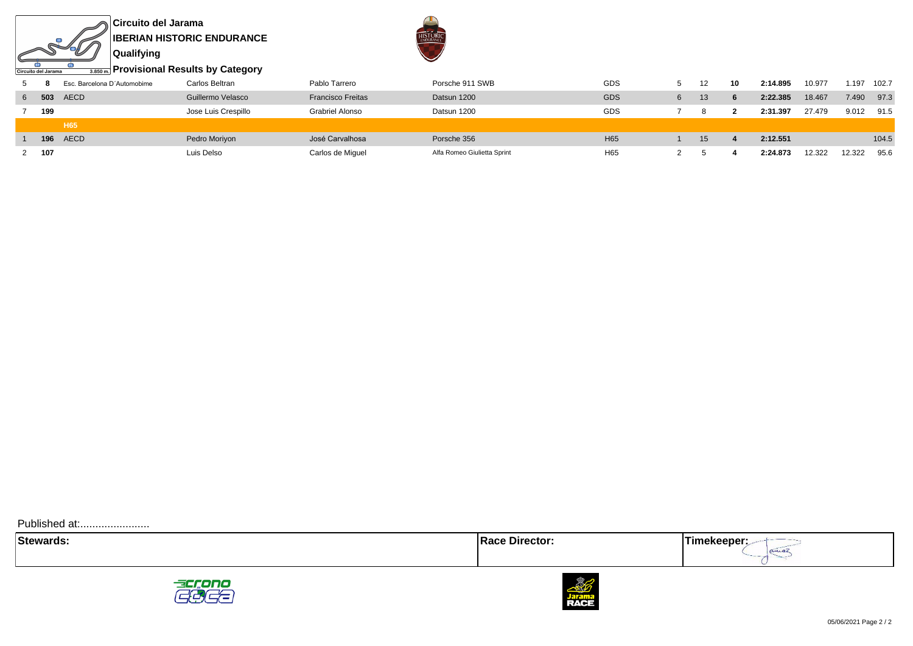**Circuito del Jarama IBERIAN HISTORIC ENDURANCE Qualifying**

 $\sin$ 

Circuito del Jarama

d.



**Provisional Results by Category**

|   |     | Esc. Barcelona D'Automobime | Carlos Beltran      | Pablo Tarrero            | Porsche 911 SWB | GDS        |   | 10 | 2:14.895 | 10.977 | 1.197 | 102.7 |
|---|-----|-----------------------------|---------------------|--------------------------|-----------------|------------|---|----|----------|--------|-------|-------|
| 6 |     | <b>503</b> AECD             | Guillermo Velasco   | <b>Francisco Freitas</b> | Datsun 1200     | <b>GDS</b> | 6 |    | 2:22.385 | 18.467 | 7.490 | 97.3  |
|   | 199 |                             | Jose Luis Crespillo | Grabriel Alonso          | Datsun 1200     | GDS        |   |    | 2:31.397 | 27.479 | 9.012 | 91.5  |
|   |     |                             |                     |                          |                 |            |   |    |          |        |       |       |
|   |     | H65                         |                     |                          |                 |            |   |    |          |        |       |       |
|   |     | <b>196 AECD</b>             | Pedro Moriyon       | José Carvalhosa          | Porsche 356     | H65        |   |    | 2:12.551 |        |       | 104.5 |





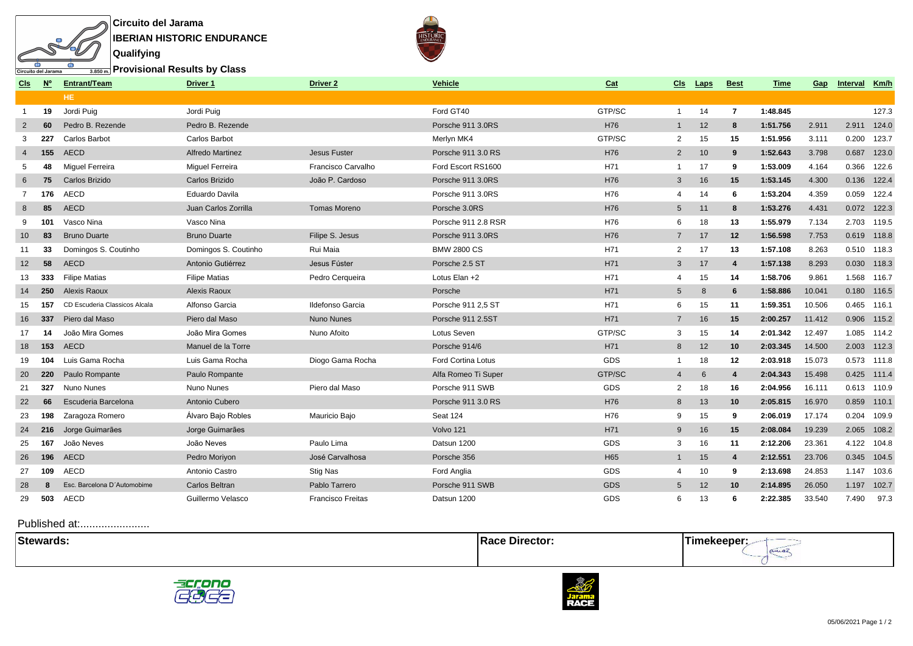

**Provisional Results by Class**

**Qualifying**

क

Circuito del Jarama

ъ

| <u>CIs</u>     | <b>N</b> ° | <b>Entrant/Team</b>           | Driver 1                | Driver <sub>2</sub>      | <b>Vehicle</b><br>Cat     |        | <u>CIs</u>      | <b>Laps</b> | <b>Best</b>    | Time     | <b>Gap</b> | Interval    | Km/h        |
|----------------|------------|-------------------------------|-------------------------|--------------------------|---------------------------|--------|-----------------|-------------|----------------|----------|------------|-------------|-------------|
|                |            | HE.                           |                         |                          |                           |        |                 |             |                |          |            |             |             |
| -1             | 19         | Jordi Puig                    | Jordi Puig              |                          | Ford GT40                 | GTP/SC | $\mathbf{1}$    | 14          | $\overline{7}$ | 1:48.845 |            |             | 127.3       |
| $\overline{2}$ | 60         | Pedro B. Rezende              | Pedro B. Rezende        |                          | Porsche 911 3.0RS         | H76    | $\overline{1}$  | 12          | 8              | 1:51.756 | 2.911      | 2.911       | 124.0       |
| 3              | 227        | <b>Carlos Barbot</b>          | Carlos Barbot           |                          | Merlyn MK4                | GTP/SC | $\overline{2}$  | 15          | 15             | 1:51.956 | 3.111      | 0.200       | 123.7       |
| $\overline{4}$ | 155        | <b>AECD</b>                   | <b>Alfredo Martinez</b> | <b>Jesus Fuster</b>      | Porsche 911 3.0 RS        | H76    | 2               | 10          | 9              | 1:52.643 | 3.798      | 0.687       | 123.0       |
| 5              | 48         | Miguel Ferreira               | Miquel Ferreira         | Francisco Carvalho       | Ford Escort RS1600        | H71    | $\overline{1}$  | 17          | 9              | 1:53.009 | 4.164      | 0.366       | 122.6       |
| 6              | 75         | Carlos Brizido                | Carlos Brizido          | João P. Cardoso          | Porsche 911 3.0RS         | H76    | $\mathbf{3}$    | 16          | 15             | 1:53.145 | 4.300      | 0.136       | 122.4       |
|                | 176        | AECD                          | Eduardo Davila          |                          | Porsche 911 3.0RS         | H76    | $\overline{4}$  | 14          | 6              | 1:53.204 | 4.359      | 0.059       | 122.4       |
| 8              | 85         | AECD                          | Juan Carlos Zorrilla    | <b>Tomas Moreno</b>      | Porsche 3.0RS             | H76    | $5\overline{)}$ | 11          | 8              | 1:53.276 | 4.431      |             | 0.072 122.3 |
| 9              | 101        | Vasco Nina                    | Vasco Nina              |                          | Porsche 911 2.8 RSR       | H76    | 6               | 18          | 13             | 1:55.979 | 7.134      | 2.703       | 119.5       |
| 10             | 83         | <b>Bruno Duarte</b>           | <b>Bruno Duarte</b>     | Filipe S. Jesus          | Porsche 911 3.0RS         | H76    | $\overline{7}$  | 17          | 12             | 1:56.598 | 7.753      |             | 0.619 118.8 |
| 11             | 33         | Domingos S. Coutinho          | Domingos S. Coutinho    | Rui Maia                 | <b>BMW 2800 CS</b>        | H71    | 2               | 17          | 13             | 1:57.108 | 8.263      |             | 0.510 118.3 |
| 12             | 58         | AECD                          | Antonio Gutiérrez       | Jesus Fúster             | Porsche 2.5 ST            | H71    | $\mathbf{3}$    | 17          | $\overline{4}$ | 1:57.138 | 8.293      | 0.030       | 118.3       |
| 13             | 333        | <b>Filipe Matias</b>          | <b>Filipe Matias</b>    | Pedro Cerqueira          | Lotus Elan +2             | H71    | $\overline{4}$  | 15          | 14             | 1:58.706 | 9.861      |             | 1.568 116.7 |
| 14             | 250        | <b>Alexis Raoux</b>           | Alexis Raoux            |                          | Porsche                   | H71    | $5\overline{)}$ | 8           | 6              | 1:58.886 | 10.041     | 0.180 116.5 |             |
| 15             | 157        | CD Escuderia Classicos Alcala | Alfonso Garcia          | Ildefonso Garcia         | Porsche 911 2,5 ST        | H71    | 6               | 15          | 11             | 1:59.351 | 10.506     |             | 0.465 116.1 |
| 16             | 337        | Piero dal Maso                | Piero dal Maso          | Nuno Nunes               | Porsche 911 2.5ST         | H71    | $\overline{7}$  | 16          | 15             | 2:00.257 | 11.412     | 0.906       | 115.2       |
| 17             | 14         | João Mira Gomes               | João Mira Gomes         | Nuno Afoito              | Lotus Seven               | GTP/SC | 3               | 15          | 14             | 2:01.342 | 12.497     | 1.085       | 114.2       |
| 18             | 153        | AECD                          | Manuel de la Torre      |                          | Porsche 914/6             | H71    | 8               | 12          | 10             | 2:03.345 | 14.500     | 2.003 112.3 |             |
| 19             | 104        | Luis Gama Rocha               | Luis Gama Rocha         | Diogo Gama Rocha         | <b>Ford Cortina Lotus</b> | GDS    | $\mathbf{1}$    | 18          | 12             | 2:03.918 | 15.073     |             | 0.573 111.8 |
| 20             | 220        | Paulo Rompante                | Paulo Rompante          |                          | Alfa Romeo Ti Super       | GTP/SC | 4               | 6           | $\overline{4}$ | 2:04.343 | 15.498     |             | 0.425 111.4 |
| 21             | 327        | Nuno Nunes                    | Nuno Nunes              | Piero dal Maso           | Porsche 911 SWB           | GDS    | 2               | 18          | 16             | 2:04.956 | 16.111     | 0.613 110.9 |             |
| 22             | 66         | Escuderia Barcelona           | Antonio Cubero          |                          | Porsche 911 3.0 RS        | H76    | 8               | 13          | 10             | 2:05.815 | 16.970     |             | 0.859 110.1 |
| 23             | 198        | Zaragoza Romero               | Álvaro Bajo Robles      | Mauricio Bajo            | Seat 124                  | H76    | 9               | 15          | 9              | 2:06.019 | 17.174     | 0.204       | 109.9       |
| 24             | 216        | Jorge Guimarães               | Jorge Guimarães         |                          | Volvo 121                 | H71    | 9               | 16          | 15             | 2:08.084 | 19.239     | 2.065       | 108.2       |
| 25             | 167        | João Neves                    | João Neves              | Paulo Lima               | Datsun 1200               | GDS    | 3               | 16          | 11             | 2:12.206 | 23.361     | 4.122       | 104.8       |
| 26             | 196        | AECD                          | Pedro Moriyon           | José Carvalhosa          | Porsche 356               | H65    | $\mathbf{1}$    | 15          | $\overline{4}$ | 2:12.551 | 23.706     | 0.345       | 104.5       |
| 27             | 109        | AECD                          | Antonio Castro          | <b>Stig Nas</b>          | Ford Anglia               | GDS    | $\overline{4}$  | 10          | 9              | 2:13.698 | 24.853     | 1.147       | 103.6       |
| 28             | -8         | Esc. Barcelona D'Automobime   | Carlos Beltran          | Pablo Tarrero            | Porsche 911 SWB           | GDS    | $5\overline{)}$ | 12          | 10             | 2:14.895 | 26.050     | 1.197       | 102.7       |
| 29             | 503        | <b>AECD</b>                   | Guillermo Velasco       | <b>Francisco Freitas</b> | Datsun 1200               | GDS    | 6               | 13          | 6              | 2:22.385 | 33.540     | 7.490       | 97.3        |
|                |            |                               |                         |                          |                           |        |                 |             |                |          |            |             |             |

| ∣Stev | -uu |  |
|-------|-----|--|
|       |     |  |



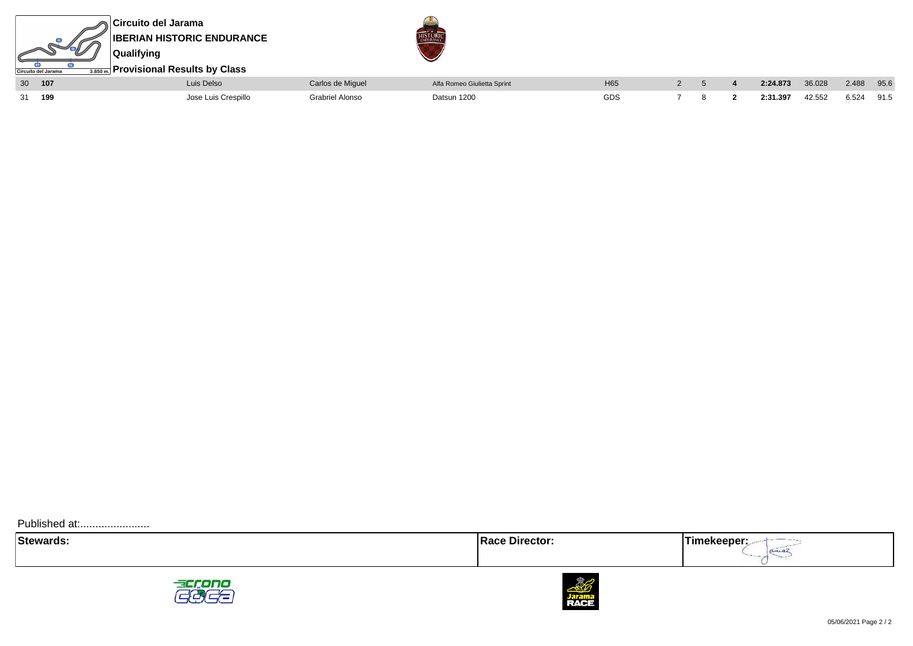

| $\sim$ | $\cdot$ . | <b>LAID DOIDD</b>       | <b>PORTIOUS CONTROLL</b> | This issues Stational Option | $\cdots$ |  | $-1 - 1 - 1 - 1$ | $\sim\!\sim\!\sim\!\sim$ |       | $\sim\!\!\sim\!\!\sim$ |
|--------|-----------|-------------------------|--------------------------|------------------------------|----------|--|------------------|--------------------------|-------|------------------------|
| 31     | 100       | ו ≏>ר'<br>uis Crespillo | l Alonso                 | Datsun 1200                  | GDS      |  | 2:31.397         | 42.552                   | 6.524 | 91.5                   |





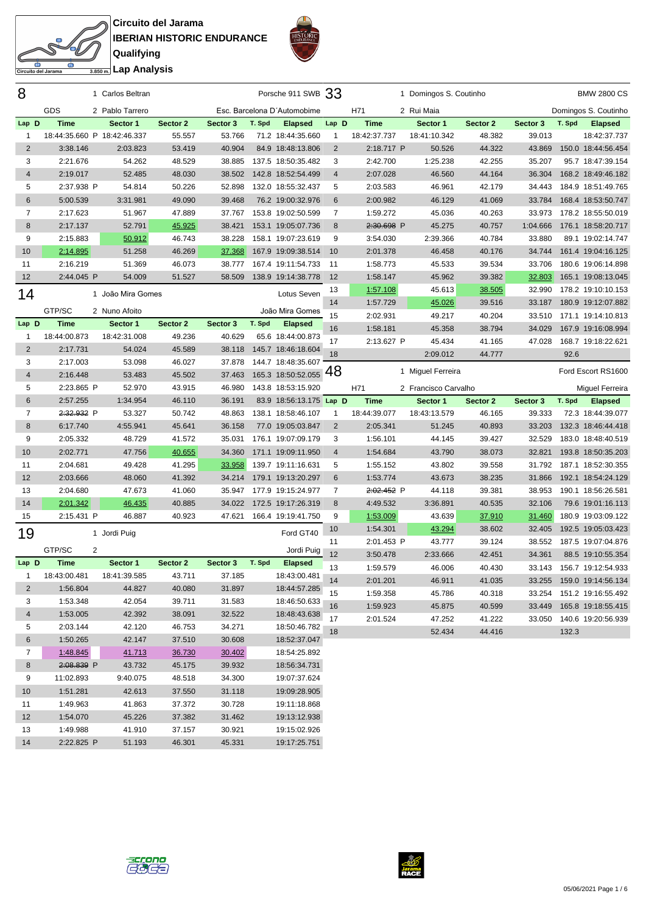**Circuito del Jarama IBERIAN HISTORIC ENDURANCE Qualifying Lap Analysis**

to del Jarama



| 8              |                             | 1 Carlos Beltran  |                  |          |        | Porsche 911 SWB 33           |                 |              | 1 Domingos S. Coutinho |          |          |        | <b>BMW 2800 CS</b>        |
|----------------|-----------------------------|-------------------|------------------|----------|--------|------------------------------|-----------------|--------------|------------------------|----------|----------|--------|---------------------------|
|                | GDS                         | 2 Pablo Tarrero   |                  |          |        | Esc. Barcelona D'Automobime  |                 | H71          | 2 Rui Maia             |          |          |        | Domingos S. Coutinho      |
| Lap D          | <b>Time</b>                 | Sector 1          | Sector 2         | Sector 3 | T. Spd | <b>Elapsed</b>               | Lap D           | <b>Time</b>  | Sector 1               | Sector 2 | Sector 3 | T. Spd | <b>Elapsed</b>            |
| 1              | 18:44:35.660 P 18:42:46.337 |                   | 55.557           | 53.766   |        | 71.2 18:44:35.660            | $\mathbf{1}$    | 18:42:37.737 | 18:41:10.342           | 48.382   | 39.013   |        | 18:42:37.737              |
| $\overline{2}$ | 3:38.146                    | 2:03.823          | 53.419           | 40.904   |        | 84.9 18:48:13.806            | 2               | 2:18.717 P   | 50.526                 | 44.322   | 43.869   |        | 150.0 18:44:56.454        |
| 3              | 2:21.676                    | 54.262            | 48.529           | 38.885   |        | 137.5 18:50:35.482           | 3               | 2:42.700     | 1:25.238               | 42.255   | 35.207   |        | 95.7 18:47:39.154         |
| 4              | 2:19.017                    | 52.485            | 48.030           | 38.502   |        | 142.8 18:52:54.499           | $\overline{4}$  | 2:07.028     | 46.560                 | 44.164   | 36.304   |        | 168.2 18:49:46.182        |
| 5              | 2:37.938 P                  | 54.814            | 50.226           | 52.898   |        | 132.0 18:55:32.437           | 5               | 2:03.583     | 46.961                 | 42.179   | 34.443   |        | 184.9 18:51:49.765        |
| 6              | 5:00.539                    | 3:31.981          | 49.090           | 39.468   |        | 76.2 19:00:32.976            | 6               | 2:00.982     | 46.129                 | 41.069   | 33.784   |        | 168.4 18:53:50.747        |
| $\overline{7}$ | 2:17.623                    | 51.967            | 47.889           | 37.767   |        | 153.8 19:02:50.599           | $\overline{7}$  | 1:59.272     | 45.036                 | 40.263   | 33.973   |        | 178.2 18:55:50.019        |
| 8              | 2:17.137                    | 52.791            | 45.925           | 38.421   |        | 153.1 19:05:07.736           | 8               | 2:30.698 P   | 45.275                 | 40.757   | 1:04.666 |        | 176.1 18:58:20.717        |
| 9              | 2:15.883                    | 50.912            | 46.743           | 38.228   |        | 158.1 19:07:23.619           | 9               | 3:54.030     | 2:39.366               | 40.784   | 33.880   |        | 89.1 19:02:14.747         |
| 10             | 2:14.895                    | 51.258            | 46.269           | 37.368   |        | 167.9 19:09:38.514           | 10              | 2:01.378     | 46.458                 | 40.176   | 34.744   |        | 161.4 19:04:16.125        |
| 11             | 2:16.219                    | 51.369            | 46.073           | 38.777   |        | 167.4 19:11:54.733           | -11             | 1:58.773     | 45.533                 | 39.534   | 33.706   |        | 180.6 19:06:14.898        |
| 12             | 2:44.045 P                  | 54.009            | 51.527           | 58.509   |        | 138.9 19:14:38.778           | 12              | 1:58.147     | 45.962                 | 39.382   | 32.803   |        | 165.1 19:08:13.045        |
| 14             |                             | 1 João Mira Gomes |                  |          |        | Lotus Seven                  | 13              | 1:57.108     | 45.613                 | 38.505   | 32.990   |        | 178.2 19:10:10.153        |
|                |                             |                   |                  |          |        |                              | 14              | 1:57.729     | 45.026                 | 39.516   | 33.187   |        | 180.9 19:12:07.882        |
|                | GTP/SC                      | 2 Nuno Afoito     |                  |          |        | João Mira Gomes              | 15              | 2:02.931     | 49.217                 | 40.204   | 33.510   |        | 171.1 19:14:10.813        |
| Lap D          | <b>Time</b>                 | Sector 1          | Sector 2         | Sector 3 | T. Spd | <b>Elapsed</b>               | 16              | 1:58.181     | 45.358                 | 38.794   | 34.029   |        | 167.9 19:16:08.994        |
| 1              | 18:44:00.873                | 18:42:31.008      | 49.236           | 40.629   |        | 65.6 18:44:00.873            | 17              | 2:13.627 P   | 45.434                 | 41.165   | 47.028   |        | 168.7 19:18:22.621        |
| $\overline{2}$ | 2:17.731                    | 54.024            | 45.589           | 38.118   |        | 145.7 18:46:18.604           | 18              |              | 2:09.012               | 44.777   |          | 92.6   |                           |
| 3              | 2:17.003                    | 53.098            | 46.027           | 37.878   |        | 144.7 18:48:35.607           | 48              |              | 1 Miguel Ferreira      |          |          |        | Ford Escort RS1600        |
| 4              | 2:16.448                    | 53.483            | 45.502           | 37.463   |        | 165.3 18:50:52.055           |                 |              |                        |          |          |        |                           |
| 5              | 2:23.865 P                  | 52.970            | 43.915           | 46.980   |        | 143.8 18:53:15.920           |                 | H71          | 2 Francisco Carvalho   |          |          |        | Miquel Ferreira           |
| 6              | 2:57.255                    | 1:34.954          | 46.110           | 36.191   |        | 83.9 18:56:13.175 Lap D      |                 | <b>Time</b>  | Sector 1               | Sector 2 | Sector 3 | T. Spd | <b>Elapsed</b>            |
| 7              | 2:32.932 P                  | 53.327            | 50.742           | 48.863   |        | 138.1 18:58:46.107           | $\mathbf{1}$    | 18:44:39.077 | 18:43:13.579           | 46.165   | 39.333   |        | 72.3 18:44:39.077         |
| 8              | 6:17.740                    | 4:55.941          | 45.641           | 36.158   |        | 77.0 19:05:03.847            | $\overline{2}$  | 2:05.341     | 51.245                 | 40.893   | 33.203   |        | 132.3 18:46:44.418        |
| 9              | 2:05.332                    | 48.729            | 41.572           | 35.031   |        | 176.1 19:07:09.179           | 3               | 1:56.101     | 44.145                 | 39.427   | 32.529   |        | 183.0 18:48:40.519        |
| 10             | 2:02.771                    | 47.756            | 40.655           | 34.360   |        | 171.1 19:09:11.950           | $\overline{4}$  | 1:54.684     | 43.790                 | 38.073   | 32.821   |        | 193.8 18:50:35.203        |
| 11             | 2:04.681                    | 49.428            | 41.295           | 33.958   |        | 139.7 19:11:16.631           | 5               | 1:55.152     | 43.802                 | 39.558   | 31.792   |        | 187.1 18:52:30.355        |
| 12             | 2:03.666                    | 48.060            | 41.392           | 34.214   |        | 179.1 19:13:20.297           | $6\phantom{1}6$ | 1:53.774     | 43.673                 | 38.235   | 31.866   |        | 192.1 18:54:24.129        |
| 13             | 2:04.680                    | 47.673            | 41.060           | 35.947   |        | 177.9 19:15:24.977           | $\overline{7}$  | 2:02.452 P   | 44.118                 | 39.381   | 38.953   |        | 190.1 18:56:26.581        |
| 14             | 2:01.342                    | 46.435            | 40.885           | 34.022   |        | 172.5 19:17:26.319           | 8               | 4:49.532     | 3:36.891               | 40.535   | 32.106   |        | 79.6 19:01:16.113         |
| 15             | 2:15.431 P                  | 46.887            | 40.923           | 47.621   |        | 166.4 19:19:41.750           | 9               | 1:53.009     | 43.639                 | 37.910   | 31.460   |        | 180.9 19:03:09.122        |
| 19             |                             | 1 Jordi Puig      |                  |          |        | Ford GT40                    | 10              | 1:54.301     | 43.294                 | 38.602   | 32.405   |        | 192.5 19:05:03.423        |
|                | GTP/SC<br>2                 |                   |                  |          |        | Jordi Puig                   | 11              | 2:01.453 P   | 43.777                 | 39.124   | 38.552   |        | 187.5 19:07:04.876        |
| Lap D          | Time                        | Sector 1          | Sector 2         | Sector 3 | T. Spd | <b>Elapsed</b>               | 12              | 3:50.478     | 2:33.666               | 42.451   | 34.361   |        | 88.5 19:10:55.354         |
| 1              | 18:43:00.481                | 18:41:39.585      | 43.711           | 37.185   |        | 18:43:00.481                 | 13              | 1:59.579     | 46.006                 | 40.430   | 33.143   |        | 156.7 19:12:54.933        |
| $\overline{2}$ | 1:56.804                    | 44.827            | 40.080           | 31.897   |        | 18:44:57.285                 | 14              | 2:01.201     | 46.911                 | 41.035   | 33.255   |        | 159.0 19:14:56.134        |
| 3              | 1:53.348                    | 42.054            | 39.711           | 31.583   |        | 18:46:50.633                 | 15              | 1:59.358     | 45.786                 | 40.318   |          |        | 33.254 151.2 19:16:55.492 |
| $\overline{4}$ | 1:53.005                    | 42.392            | 38.091           | 32.522   |        | 18:48:43.638                 | 16              | 1:59.923     | 45.875                 | 40.599   | 33.449   |        | 165.8 19:18:55.415        |
| 5              | 2:03.144                    | 42.120            | 46.753           | 34.271   |        | 18:50:46.782                 | 17              | 2:01.524     | 47.252                 | 41.222   |          |        | 33.050 140.6 19:20:56.939 |
| 6              | 1:50.265                    | 42.147            | 37.510           | 30.608   |        | 18:52:37.047                 | 18              |              | 52.434                 | 44.416   |          | 132.3  |                           |
| 7              | 1:48.845                    | <u>41.713</u>     | 36.730           | 30.402   |        | 18:54:25.892                 |                 |              |                        |          |          |        |                           |
|                | 2:08.839 P                  | 43.732            |                  | 39.932   |        |                              |                 |              |                        |          |          |        |                           |
| 8<br>9         | 11:02.893                   | 9:40.075          | 45.175<br>48.518 | 34.300   |        | 18:56:34.731<br>19:07:37.624 |                 |              |                        |          |          |        |                           |
| 10             | 1:51.281                    | 42.613            | 37.550           | 31.118   |        | 19:09:28.905                 |                 |              |                        |          |          |        |                           |
|                | 1:49.963                    | 41.863            | 37.372           | 30.728   |        | 19:11:18.868                 |                 |              |                        |          |          |        |                           |
| 11<br>12       |                             |                   |                  |          |        | 19:13:12.938                 |                 |              |                        |          |          |        |                           |
|                | 1:54.070                    | 45.226            | 37.382           | 31.462   |        |                              |                 |              |                        |          |          |        |                           |



 1:49.988 41.910 37.157 30.921 19:15:02.926 2:22.825 P 51.193 46.301 45.331 19:17:25.751

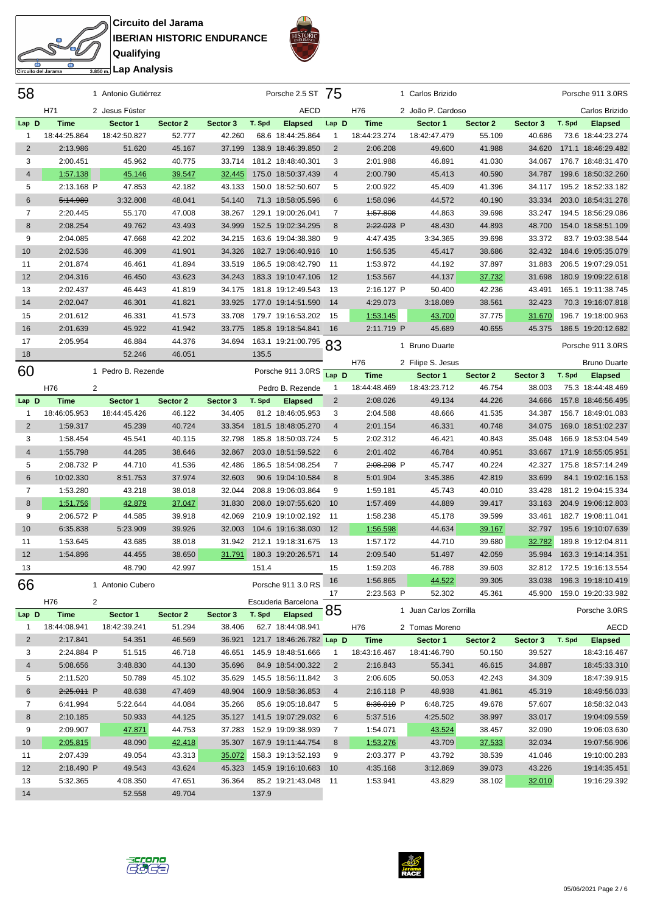**Circuito del Jarama IBERIAN HISTORIC ENDURANCE Qualifying**



| ßП             |                             |  |
|----------------|-----------------------------|--|
| ito del Jarama | <del>கணி</del> Lap Analysis |  |

 $\mathcal{S}^2$ 

| 58             |              |                | 1 Antonio Gutiérrez |          |          |        | Porsche 2.5 ST 75        |                |              | 1 Carlos Brizido       |          |          |        | Porsche 911 3.0RS         |
|----------------|--------------|----------------|---------------------|----------|----------|--------|--------------------------|----------------|--------------|------------------------|----------|----------|--------|---------------------------|
|                | H71          |                | 2 Jesus Fúster      |          |          |        | AECD                     |                | H76          | 2 João P. Cardoso      |          |          |        | Carlos Brizido            |
| Lap D          | <b>Time</b>  |                | Sector 1            | Sector 2 | Sector 3 | T. Spd | <b>Elapsed</b>           | Lap D          | <b>Time</b>  | Sector 1               | Sector 2 | Sector 3 | T. Spd | <b>Elapsed</b>            |
| 1              | 18:44:25.864 |                | 18:42:50.827        | 52.777   | 42.260   |        | 68.6 18:44:25.864        | 1              | 18:44:23.274 | 18:42:47.479           | 55.109   | 40.686   |        | 73.6 18:44:23.274         |
| 2              | 2:13.986     |                | 51.620              | 45.167   | 37.199   |        | 138.9 18:46:39.850       | $\overline{2}$ | 2:06.208     | 49.600                 | 41.988   | 34.620   |        | 171.1 18:46:29.482        |
| 3              | 2:00.451     |                | 45.962              | 40.775   | 33.714   |        | 181.2 18:48:40.301       | 3              | 2:01.988     | 46.891                 | 41.030   | 34.067   |        | 176.7 18:48:31.470        |
| $\overline{4}$ | 1:57.138     |                | <u>45.146</u>       | 39.547   | 32.445   |        | 175.0 18:50:37.439       | 4              | 2:00.790     | 45.413                 | 40.590   | 34.787   |        | 199.6 18:50:32.260        |
| 5              | 2:13.168 P   |                | 47.853              | 42.182   | 43.133   |        | 150.0 18:52:50.607       | 5              | 2:00.922     | 45.409                 | 41.396   | 34.117   |        | 195.2 18:52:33.182        |
| 6              | 5:14.989     |                | 3:32.808            | 48.041   | 54.140   |        | 71.3 18:58:05.596        | 6              | 1:58.096     | 44.572                 | 40.190   | 33.334   |        | 203.0 18:54:31.278        |
| 7              | 2:20.445     |                | 55.170              | 47.008   | 38.267   |        | 129.1 19:00:26.041       | 7              | 4:57.808     | 44.863                 | 39.698   | 33.247   |        | 194.5 18:56:29.086        |
| 8              | 2:08.254     |                | 49.762              | 43.493   | 34.999   |        | 152.5 19:02:34.295       | 8              | 2:22.023 P   | 48.430                 | 44.893   | 48.700   |        | 154.0 18:58:51.109        |
| 9              | 2:04.085     |                | 47.668              | 42.202   | 34.215   |        | 163.6 19:04:38.380       | 9              | 4:47.435     | 3:34.365               | 39.698   | 33.372   |        | 83.7 19:03:38.544         |
| 10             | 2:02.536     |                | 46.309              | 41.901   | 34.326   |        | 182.7 19:06:40.916       | 10             | 1:56.535     | 45.417                 | 38.686   | 32.432   |        | 184.6 19:05:35.079        |
| 11             | 2:01.874     |                | 46.461              | 41.894   | 33.519   |        | 186.5 19:08:42.790       | 11             | 1:53.972     | 44.192                 | 37.897   | 31.883   |        | 206.5 19:07:29.051        |
| 12             | 2:04.316     |                | 46.450              | 43.623   | 34.243   |        | 183.3 19:10:47.106       | 12             | 1:53.567     | 44.137                 | 37.732   | 31.698   |        | 180.9 19:09:22.618        |
| 13             | 2:02.437     |                | 46.443              | 41.819   | 34.175   |        | 181.8 19:12:49.543       | 13             | 2:16.127 P   | 50.400                 | 42.236   | 43.491   |        | 165.1 19:11:38.745        |
| 14             | 2:02.047     |                | 46.301              | 41.821   | 33.925   |        | 177.0 19:14:51.590       | -14            | 4:29.073     | 3:18.089               | 38.561   | 32.423   |        | 70.3 19:16:07.818         |
| 15             | 2:01.612     |                | 46.331              | 41.573   | 33.708   |        | 179.7 19:16:53.202       | 15             | 1:53.145     | 43.700                 | 37.775   | 31.670   |        | 196.7 19:18:00.963        |
| 16             | 2:01.639     |                | 45.922              | 41.942   | 33.775   |        | 185.8 19:18:54.841       | - 16           | 2:11.719 P   | 45.689                 | 40.655   | 45.375   |        | 186.5 19:20:12.682        |
| 17             | 2:05.954     |                | 46.884              | 44.376   | 34.694   |        | 163.1 19:21:00.795       |                |              |                        |          |          |        |                           |
| 18             |              |                | 52.246              | 46.051   |          | 135.5  |                          | 83             |              | 1 Bruno Duarte         |          |          |        | Porsche 911 3.0RS         |
|                |              |                |                     |          |          |        |                          |                | H76          | 2 Filipe S. Jesus      |          |          |        | <b>Bruno Duarte</b>       |
| 60             |              |                | 1 Pedro B. Rezende  |          |          |        | Porsche 911 3.0RS        | Lap D          | <b>Time</b>  | Sector 1               | Sector 2 | Sector 3 | T. Spd | <b>Elapsed</b>            |
|                | H76          | $\overline{2}$ |                     |          |          |        | Pedro B. Rezende         | 1              | 18:44:48.469 | 18:43:23.712           | 46.754   | 38.003   |        | 75.3 18:44:48.469         |
| Lap D          | <b>Time</b>  |                | Sector 1            | Sector 2 | Sector 3 | T. Spd | <b>Elapsed</b>           | $\overline{2}$ | 2:08.026     | 49.134                 | 44.226   | 34.666   |        | 157.8 18:46:56.495        |
| $\mathbf{1}$   | 18:46:05.953 |                | 18:44:45.426        | 46.122   | 34.405   |        | 81.2 18:46:05.953        | 3              | 2:04.588     | 48.666                 | 41.535   | 34.387   |        | 156.7 18:49:01.083        |
| 2              | 1:59.317     |                | 45.239              | 40.724   | 33.354   |        | 181.5 18:48:05.270       | 4              | 2:01.154     | 46.331                 | 40.748   | 34.075   |        | 169.0 18:51:02.237        |
| 3              | 1:58.454     |                | 45.541              | 40.115   | 32.798   |        | 185.8 18:50:03.724       | 5              | 2:02.312     | 46.421                 | 40.843   | 35.048   |        | 166.9 18:53:04.549        |
| $\overline{4}$ | 1:55.798     |                | 44.285              | 38.646   | 32.867   |        | 203.0 18:51:59.522       | 6              | 2:01.402     | 46.784                 | 40.951   | 33.667   |        | 171.9 18:55:05.951        |
| 5              | 2:08.732 P   |                | 44.710              | 41.536   | 42.486   |        | 186.5 18:54:08.254       | 7              | 2:08.298 P   | 45.747                 | 40.224   | 42.327   |        | 175.8 18:57:14.249        |
| 6              | 10:02.330    |                | 8:51.753            | 37.974   | 32.603   |        | 90.6 19:04:10.584        | 8              | 5:01.904     | 3:45.386               | 42.819   | 33.699   |        | 84.1 19:02:16.153         |
| $\overline{7}$ | 1:53.280     |                | 43.218              | 38.018   | 32.044   |        | 208.8 19:06:03.864       | 9              | 1:59.181     | 45.743                 | 40.010   | 33.428   |        | 181.2 19:04:15.334        |
| 8              | 1:51.756     |                | 42.879              | 37.047   | 31.830   |        | 208.0 19:07:55.620       | 10             | 1:57.469     | 44.889                 | 39.417   | 33.163   |        | 204.9 19:06:12.803        |
| 9              | 2:06.572 P   |                | 44.585              | 39.918   | 42.069   |        | 210.9 19:10:02.192       | - 11           | 1:58.238     | 45.178                 | 39.599   | 33.461   |        | 182.7 19:08:11.041        |
| 10             | 6:35.838     |                | 5:23.909            | 39.926   | 32.003   |        | 104.6 19:16:38.030       | 12             | 1:56.598     | 44.634                 | 39.167   | 32.797   |        | 195.6 19:10:07.639        |
| 11             | 1:53.645     |                | 43.685              | 38.018   | 31.942   |        | 212.1 19:18:31.675       | -13            | 1:57.172     | 44.710                 | 39.680   | 32.782   |        | 189.8 19:12:04.811        |
| 12             | 1:54.896     |                | 44.455              | 38.650   | 31.791   |        | 180.3 19:20:26.571       | 14             | 2:09.540     | 51.497                 | 42.059   | 35.984   |        | 163.3 19:14:14.351        |
| 13             |              |                | 48.790              | 42.997   |          | 151.4  |                          | 15             | 1:59.203     | 46.788                 | 39.603   |          |        | 32.812 172.5 19:16:13.554 |
| 66             |              |                | 1 Antonio Cubero    |          |          |        | Porsche 911 3.0 RS       | 16             | 1:56.865     | 44.522                 | 39.305   | 33.038   |        | 196.3 19:18:10.419        |
|                |              |                |                     |          |          |        |                          | 17             | 2:23.563 P   | 52.302                 | 45.361   | 45.900   |        | 159.0 19:20:33.982        |
|                | H76          | $\overline{2}$ |                     |          |          |        | Escuderia Barcelona      | 85             |              | 1 Juan Carlos Zorrilla |          |          |        | Porsche 3.0RS             |
| Lap D          | <b>Time</b>  |                | Sector 1            | Sector 2 | Sector 3 |        | T. Spd Elapsed           |                |              |                        |          |          |        |                           |
| 1              | 18:44:08.941 |                | 18:42:39.241        | 51.294   | 38.406   |        | 62.7 18:44:08.941        |                | H76          | 2 Tomas Moreno         |          |          |        | <b>AECD</b>               |
| $\overline{2}$ | 2:17.841     |                | 54.351              | 46.569   | 36.921   |        | 121.7 18:46:26.782 Lap D |                | <b>Time</b>  | Sector 1               | Sector 2 | Sector 3 | T. Spd | <b>Elapsed</b>            |
| 3              | 2:24.884 P   |                | 51.515              | 46.718   | 46.651   |        | 145.9 18:48:51.666       | $\mathbf{1}$   | 18:43:16.467 | 18:41:46.790           | 50.150   | 39.527   |        | 18:43:16.467              |
| 4              | 5:08.656     |                | 3:48.830            | 44.130   | 35.696   |        | 84.9 18:54:00.322        | $\overline{2}$ | 2:16.843     | 55.341                 | 46.615   | 34.887   |        | 18:45:33.310              |
| 5              | 2:11.520     |                | 50.789              | 45.102   | 35.629   |        | 145.5 18:56:11.842       | 3              | 2:06.605     | 50.053                 | 42.243   | 34.309   |        | 18:47:39.915              |
| 6              | 2:25.011 P   |                | 48.638              | 47.469   | 48.904   |        | 160.9 18:58:36.853       | 4              | 2:16.118 P   | 48.938                 | 41.861   | 45.319   |        | 18:49:56.033              |
| 7              | 6:41.994     |                | 5:22.644            | 44.084   | 35.266   |        | 85.6 19:05:18.847        | 5              | 8:36.010 P   | 6:48.725               | 49.678   | 57.607   |        | 18:58:32.043              |
| 8              | 2:10.185     |                | 50.933              | 44.125   | 35.127   |        | 141.5 19:07:29.032       | 6              | 5:37.516     | 4:25.502               | 38.997   | 33.017   |        | 19:04:09.559              |
| 9              | 2:09.907     |                | 47.871              | 44.753   | 37.283   |        | 152.9 19:09:38.939       | 7              | 1:54.071     | 43.524                 | 38.457   | 32.090   |        | 19:06:03.630              |
| 10             | 2:05.815     |                | 48.090              | 42.418   | 35.307   |        | 167.9 19:11:44.754       | 8              | 1:53.276     | 43.709                 | 37.533   | 32.034   |        | 19:07:56.906              |
| 11             | 2:07.439     |                | 49.054              | 43.313   | 35.072   |        | 158.3 19:13:52.193       | 9              | 2:03.377 P   | 43.792                 | 38.539   | 41.046   |        | 19:10:00.283              |
| 12             | 2:18.490 P   |                | 49.543              | 43.624   | 45.323   |        | 145.9 19:16:10.683       | 10             | 4:35.168     | 3:12.869               | 39.073   | 43.226   |        | 19:14:35.451              |
| 13             | 5:32.365     |                | 4:08.350            | 47.651   | 36.364   |        | 85.2 19:21:43.048        | 11             | 1:53.941     | 43.829                 | 38.102   | 32.010   |        | 19:16:29.392              |
| 14             |              |                | 52.558              | 49.704   |          | 137.9  |                          |                |              |                        |          |          |        |                           |



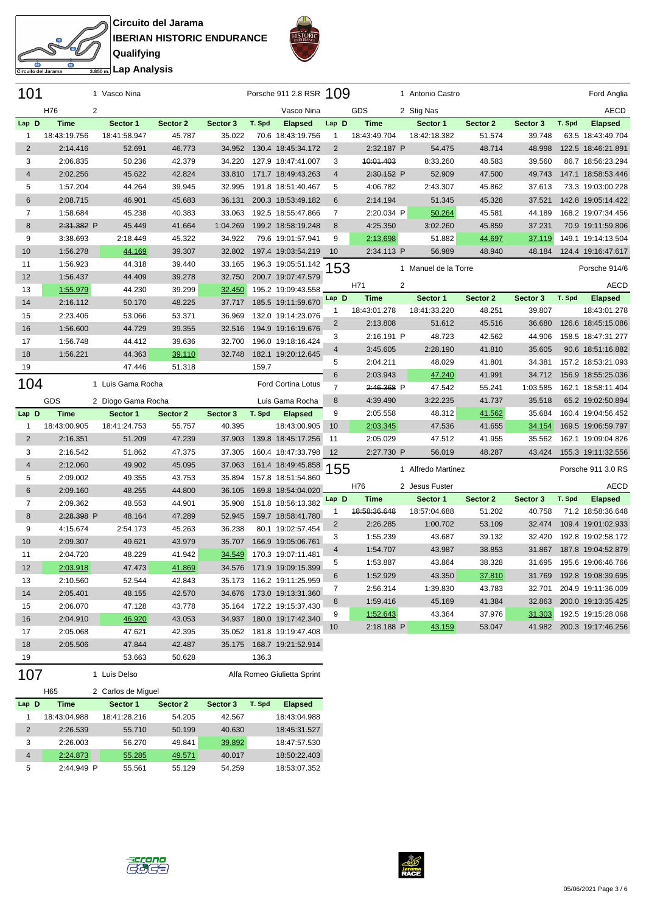**Circuito del Jarama IBERIAN HISTORIC ENDURANCE Qualifying Lap Analysis**



| Circuito del Jarama | <del>கணி</del> Lap Analysi |
|---------------------|----------------------------|

 $\mathcal{S}^2$ 

| 101            |                 | 1 Vasco Nina       |          |          |        | Porsche 911 2.8 RSR 109     |                |                       |                | 1 Antonio Castro     |               |          |        | Ford Anglia               |
|----------------|-----------------|--------------------|----------|----------|--------|-----------------------------|----------------|-----------------------|----------------|----------------------|---------------|----------|--------|---------------------------|
|                | H76<br>2        |                    |          |          |        | Vasco Nina                  |                | GDS                   |                | 2 Stig Nas           |               |          |        | <b>AECD</b>               |
| Lap D          | <b>Time</b>     | Sector 1           | Sector 2 | Sector 3 | T. Spd | <b>Elapsed</b>              | Lap D          | <b>Time</b>           |                | Sector 1             | Sector 2      | Sector 3 | T. Spd | <b>Elapsed</b>            |
| 1              | 18:43:19.756    | 18:41:58.947       | 45.787   | 35.022   |        | 70.6 18:43:19.756           | $\mathbf{1}$   | 18:43:49.704          |                | 18:42:18.382         | 51.574        | 39.748   |        | 63.5 18:43:49.704         |
| $\overline{2}$ | 2:14.416        | 52.691             | 46.773   | 34.952   |        | 130.4 18:45:34.172          | $\overline{2}$ | 2:32.187 P            |                | 54.475               | 48.714        | 48.998   |        | 122.5 18:46:21.891        |
| 3              | 2:06.835        | 50.236             | 42.379   | 34.220   |        | 127.9 18:47:41.007          | 3              | <del>10:01.403</del>  |                | 8:33.260             | 48.583        | 39.560   |        | 86.7 18:56:23.294         |
| $\overline{4}$ | 2:02.256        | 45.622             | 42.824   | 33.810   |        | 171.7 18:49:43.263          | 4              | 2:30.152 P            |                | 52.909               | 47.500        | 49.743   |        | 147.1 18:58:53.446        |
| 5              | 1:57.204        | 44.264             | 39.945   | 32.995   |        | 191.8 18:51:40.467          | 5              | 4:06.782              |                | 2:43.307             | 45.862        | 37.613   |        | 73.3 19:03:00.228         |
| 6              | 2:08.715        | 46.901             | 45.683   | 36.131   |        | 200.3 18:53:49.182          | 6              | 2:14.194              |                | 51.345               | 45.328        | 37.521   |        | 142.8 19:05:14.422        |
| 7              | 1:58.684        | 45.238             | 40.383   | 33.063   |        | 192.5 18:55:47.866          | 7              | 2:20.034 P            |                | 50.264               | 45.581        | 44.189   |        | 168.2 19:07:34.456        |
| 8              | 2:31.382 P      | 45.449             | 41.664   | 1:04.269 |        | 199.2 18:58:19.248          | 8              | 4:25.350              |                | 3:02.260             | 45.859        | 37.231   |        | 70.9 19:11:59.806         |
| 9              | 3:38.693        | 2:18.449           | 45.322   | 34.922   |        | 79.6 19:01:57.941           | 9              | 2:13.698              |                | 51.882               | <u>44.697</u> | 37.119   |        | 149.1 19:14:13.504        |
| 10             | 1:56.278        | 44.169             | 39.307   | 32.802   |        | 197.4 19:03:54.219          | 10             | 2:34.113 P            |                | 56.989               | 48.940        | 48.184   |        | 124.4 19:16:47.617        |
| 11             | 1:56.923        | 44.318             | 39.440   | 33.165   |        | 196.3 19:05:51.142          | 153            |                       |                | 1 Manuel de la Torre |               |          |        | Porsche 914/6             |
| 12             | 1:56.437        | 44.409             | 39.278   | 32.750   |        | 200.7 19:07:47.579          |                |                       |                |                      |               |          |        |                           |
| 13             | 1:55.979        | 44.230             | 39.299   | 32.450   |        | 195.2 19:09:43.558          |                | H71                   | $\overline{2}$ |                      |               |          |        | AECD                      |
| 14             | 2:16.112        | 50.170             | 48.225   | 37.717   |        | 185.5 19:11:59.670          | Lap D          | Time                  |                | Sector 1             | Sector 2      | Sector 3 | T. Spd | <b>Elapsed</b>            |
| 15             | 2:23.406        | 53.066             | 53.371   | 36.969   |        | 132.0 19:14:23.076          | 1              | 18:43:01.278          |                | 18:41:33.220         | 48.251        | 39.807   |        | 18:43:01.278              |
| 16             | 1:56.600        | 44.729             | 39.355   | 32.516   |        | 194.9 19:16:19.676          | 2              | 2:13.808              |                | 51.612               | 45.516        | 36.680   |        | 126.6 18:45:15.086        |
| 17             | 1:56.748        | 44.412             | 39.636   | 32.700   |        | 196.0 19:18:16.424          | 3              | 2:16.191 P            |                | 48.723               | 42.562        | 44.906   |        | 158.5 18:47:31.277        |
| 18             | 1:56.221        | 44.363             | 39.110   | 32.748   |        | 182.1 19:20:12.645          | 4              | 3:45.605              |                | 2:28.190             | 41.810        | 35.605   |        | 90.6 18:51:16.882         |
| 19             |                 | 47.446             | 51.318   |          | 159.7  |                             | 5              | 2:04.211              |                | 48.029               | 41.801        | 34.381   |        | 157.2 18:53:21.093        |
|                |                 |                    |          |          |        |                             | $6\phantom{1}$ | 2:03.943              |                | 47.240               | 41.991        | 34.712   |        | 156.9 18:55:25.036        |
| 104            |                 | 1 Luis Gama Rocha  |          |          |        | Ford Cortina Lotus          | $\overline{7}$ | <del>2:46.368</del> P |                | 47.542               | 55.241        | 1:03.585 |        | 162.1 18:58:11.404        |
|                | GDS             | 2 Diogo Gama Rocha |          |          |        | Luis Gama Rocha             | 8              | 4:39.490              |                | 3:22.235             | 41.737        | 35.518   |        | 65.2 19:02:50.894         |
| Lap D          | <b>Time</b>     | Sector 1           | Sector 2 | Sector 3 | T. Spd | <b>Elapsed</b>              | 9              | 2:05.558              |                | 48.312               | 41.562        | 35.684   |        | 160.4 19:04:56.452        |
| $\mathbf{1}$   | 18:43:00.905    | 18:41:24.753       | 55.757   | 40.395   |        | 18:43:00.905                | 10             | 2:03.345              |                | 47.536               | 41.655        | 34.154   |        | 169.5 19:06:59.797        |
| $\overline{c}$ | 2:16.351        | 51.209             | 47.239   | 37.903   |        | 139.8 18:45:17.256          | 11             | 2:05.029              |                | 47.512               | 41.955        | 35.562   |        | 162.1 19:09:04.826        |
| 3              | 2:16.542        | 51.862             | 47.375   | 37.305   |        | 160.4 18:47:33.798          | 12             | 2:27.730 P            |                | 56.019               | 48.287        | 43.424   |        | 155.3 19:11:32.556        |
| 4              | 2:12.060        | 49.902             | 45.095   | 37.063   |        | 161.4 18:49:45.858          | 155            |                       |                | 1 Alfredo Martinez   |               |          |        | Porsche 911 3.0 RS        |
| 5              | 2:09.002        | 49.355             | 43.753   | 35.894   |        | 157.8 18:51:54.860          |                |                       |                |                      |               |          |        |                           |
| 6              | 2:09.160        | 48.255             | 44.800   | 36.105   |        | 169.8 18:54:04.020          |                | H76                   |                | 2 Jesus Fuster       |               |          |        | <b>AECD</b>               |
| $\overline{7}$ | 2:09.362        | 48.553             | 44.901   | 35.908   |        | 151.8 18:56:13.382          | Lap D          | <b>Time</b>           |                | Sector 1             | Sector 2      | Sector 3 | T. Spd | <b>Elapsed</b>            |
| 8              | 2:28.398 P      | 48.164             | 47.289   | 52.945   |        | 159.7 18:58:41.780          | $\mathbf{1}$   | 48:58:36.648          |                | 18:57:04.688         | 51.202        | 40.758   |        | 71.2 18:58:36.648         |
| 9              | 4:15.674        | 2:54.173           | 45.263   | 36.238   |        | 80.1 19:02:57.454           | $\overline{2}$ | 2:26.285              |                | 1:00.702             | 53.109        | 32.474   |        | 109.4 19:01:02.933        |
| 10             | 2:09.307        | 49.621             | 43.979   | 35.707   |        | 166.9 19:05:06.761          | 3              | 1:55.239              |                | 43.687               | 39.132        | 32.420   |        | 192.8 19:02:58.172        |
| 11             | 2:04.720        | 48.229             | 41.942   | 34.549   |        | 170.3 19:07:11.481          | 4              | 1:54.707              |                | 43.987               | 38.853        | 31.867   |        | 187.8 19:04:52.879        |
| 12             | 2:03.918        | 47.473             | 41.869   | 34.576   |        | 171.9 19:09:15.399          | 5              | 1:53.887              |                | 43.864               | 38.328        | 31.695   |        | 195.6 19:06:46.766        |
| 13             | 2:10.560        | 52.544             | 42.843   |          |        | 35.173 116.2 19:11:25.959   | $\,6$          | 1:52.929              |                | 43.350               | 37.810        |          |        | 31.769 192.8 19:08:39.695 |
| 14             | 2:05.401        | 48.155             | 42.570   | 34.676   |        | 173.0 19:13:31.360          | 7              | 2:56.314              |                | 1:39.830             | 43.783        | 32.701   |        | 204.9 19:11:36.009        |
| 15             | 2:06.070        | 47.128             | 43.778   |          |        | 35.164 172.2 19:15:37.430   | 8              | 1:59.416              |                | 45.169               | 41.384        | 32.863   |        | 200.0 19:13:35.425        |
| 16             | 2:04.910        | 46.920             | 43.053   | 34.937   |        | 180.0 19:17:42.340          | 9              | 1:52.643              |                | 43.364               | 37.976        | 31.303   |        | 192.5 19:15:28.068        |
| 17             | 2:05.068        | 47.621             | 42.395   |          |        | 35.052 181.8 19:19:47.408   | 10             | 2:18.188 P            |                | 43.159               | 53.047        |          |        | 41.982 200.3 19:17:46.256 |
| 18             | 2:05.506        | 47.844             | 42.487   |          |        | 35.175  168.7  19:21:52.914 |                |                       |                |                      |               |          |        |                           |
| 19             |                 | 53.663             | 50.628   |          | 136.3  |                             |                |                       |                |                      |               |          |        |                           |
| 107            |                 | 1 Luis Delso       |          |          |        | Alfa Romeo Giulietta Sprint |                |                       |                |                      |               |          |        |                           |
|                |                 |                    |          |          |        |                             |                |                       |                |                      |               |          |        |                           |
|                | H <sub>65</sub> | 2 Carlos de Miguel |          |          |        |                             |                |                       |                |                      |               |          |        |                           |
| Lap D          | <b>Time</b>     | Sector 1           | Sector 2 | Sector 3 | T. Spd | <b>Elapsed</b>              |                |                       |                |                      |               |          |        |                           |
| 1              | 18:43:04.988    | 18:41:28.216       | 54.205   | 42.567   |        | 18:43:04.988                |                |                       |                |                      |               |          |        |                           |
| $\overline{2}$ | 2:26.539        | 55.710             | 50.199   | 40.630   |        | 18:45:31.527                |                |                       |                |                      |               |          |        |                           |
| 3              | 2:26.003        | 56.270             | 49.841   | 39.892   |        | 18:47:57.530                |                |                       |                |                      |               |          |        |                           |
| $\overline{4}$ | 2:24.873        | 55.285             | 49.571   | 40.017   |        | 18:50:22.403                |                |                       |                |                      |               |          |        |                           |
| 5              | 2:44.949 P      | 55.561             | 55.129   | 54.259   |        | 18:53:07.352                |                |                       |                |                      |               |          |        |                           |



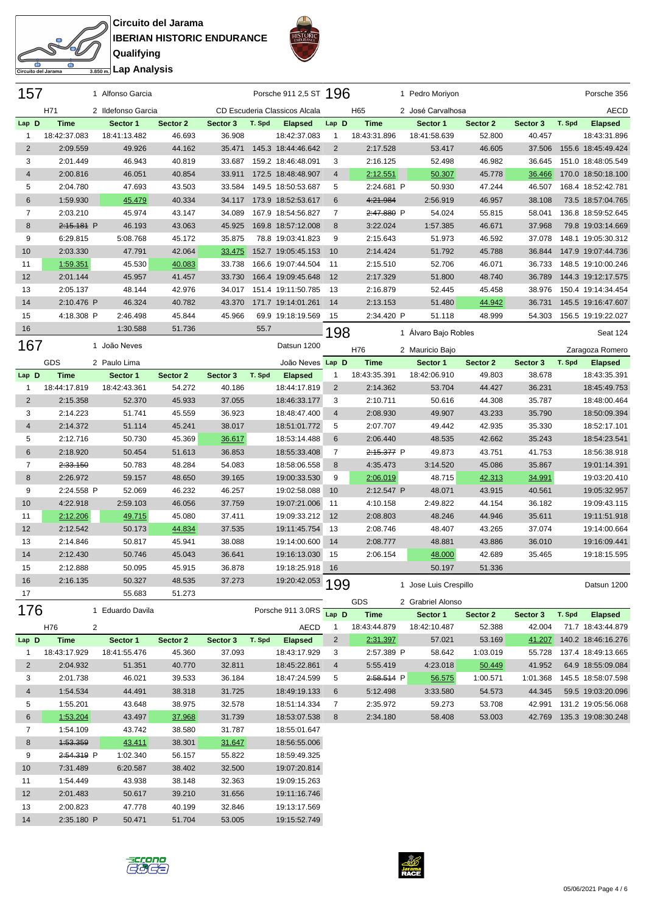⌒ **Circuito del Jarama IBERIAN HISTORIC ENDURANCE Qualifying Lap Analysis**



|                     | <b>IBERIAN HI</b>    |
|---------------------|----------------------|
|                     | Qualifying           |
| Circuito del Jarama | 3.850 m. Lap Analysi |

| 157                 |                      | 1 Alfonso Garcia   |                  |                  |        | Porsche 911 2,5 ST 196        |                     |                        | 1 Pedro Moriyon             |                  |                  |        | Porsche 356                                        |
|---------------------|----------------------|--------------------|------------------|------------------|--------|-------------------------------|---------------------|------------------------|-----------------------------|------------------|------------------|--------|----------------------------------------------------|
|                     | H71                  | 2 Ildefonso Garcia |                  |                  |        | CD Escuderia Classicos Alcala |                     | H65                    | 2 José Carvalhosa           |                  |                  |        | <b>AECD</b>                                        |
| Lap D               | <b>Time</b>          | Sector 1           | Sector 2         | Sector 3         | T. Spd | <b>Elapsed</b>                | Lap D               | <b>Time</b>            | Sector 1                    | Sector 2         | Sector 3         | T. Spd | <b>Elapsed</b>                                     |
| 1                   | 18:42:37.083         | 18:41:13.482       | 46.693           | 36.908           |        | 18:42:37.083                  | 1                   | 18:43:31.896           | 18:41:58.639                | 52.800           | 40.457           |        | 18:43:31.896                                       |
| $\overline{2}$      | 2:09.559             | 49.926             | 44.162           | 35.471           |        | 145.3 18:44:46.642            | $\overline{2}$      | 2:17.528               | 53.417                      | 46.605           | 37.506           |        | 155.6 18:45:49.424                                 |
| 3                   | 2:01.449             | 46.943             | 40.819           | 33.687           |        | 159.2 18:46:48.091            | 3                   | 2:16.125               | 52.498                      | 46.982           | 36.645           |        | 151.0 18:48:05.549                                 |
| 4                   | 2:00.816             | 46.051             | 40.854           | 33.911           |        | 172.5 18:48:48.907            | $\overline{4}$      | 2:12.551               | 50.307                      | 45.778           | 36.466           |        | 170.0 18:50:18.100                                 |
| 5                   | 2:04.780             | 47.693             | 43.503           | 33.584           |        | 149.5 18:50:53.687            | 5                   | 2:24.681 P             | 50.930                      | 47.244           | 46.507           |        | 168.4 18:52:42.781                                 |
| 6                   | 1:59.930             | 45.479             | 40.334           | 34.117           |        | 173.9 18:52:53.617            | 6                   | 4:21.984               | 2:56.919                    | 46.957           | 38.108           |        | 73.5 18:57:04.765                                  |
| $\overline{7}$      | 2:03.210             | 45.974             | 43.147           | 34.089           |        | 167.9 18:54:56.827            | 7                   | 2:47.880 P             | 54.024                      | 55.815           | 58.041           |        | 136.8 18:59:52.645                                 |
| 8                   | 2:15.181 P           | 46.193             | 43.063           | 45.925           |        | 169.8 18:57:12.008            | 8                   | 3:22.024               | 1:57.385                    | 46.671           | 37.968           |        | 79.8 19:03:14.669                                  |
| 9                   | 6:29.815             | 5:08.768           | 45.172           | 35.875           |        | 78.8 19:03:41.823             | 9                   | 2:15.643               | 51.973                      | 46.592           | 37.078           |        | 148.1 19:05:30.312                                 |
| 10                  | 2:03.330             | 47.791             | 42.064           | 33.475           |        | 152.7 19:05:45.153            | 10                  | 2:14.424               | 51.792                      | 45.788           | 36.844           |        | 147.9 19:07:44.736                                 |
| 11                  | 1:59.351             | 45.530             | 40.083           | 33.738           |        | 166.6 19:07:44.504            | 11                  | 2:15.510               | 52.706                      | 46.071           | 36.733           |        | 148.5 19:10:00.246                                 |
| 12                  | 2:01.144             | 45.957             | 41.457           | 33.730           |        | 166.4 19:09:45.648            | 12                  | 2:17.329               | 51.800                      | 48.740           | 36.789           |        | 144.3 19:12:17.575                                 |
| 13                  | 2:05.137             | 48.144             | 42.976           | 34.017           |        | 151.4 19:11:50.785            | 13                  | 2:16.879               | 52.445                      | 45.458           | 38.976           |        | 150.4 19:14:34.454                                 |
| 14                  | 2:10.476 P           | 46.324             | 40.782           | 43.370           |        | 171.7 19:14:01.261            | 14                  | 2:13.153               | 51.480                      | 44.942           | 36.731           |        | 145.5 19:16:47.607                                 |
| 15                  | 4:18.308 P           | 2:46.498           | 45.844           | 45.966           |        | 69.9 19:18:19.569             | 15                  | 2:34.420 P             | 51.118                      | 48.999           | 54.303           |        | 156.5 19:19:22.027                                 |
| 16                  |                      | 1:30.588           | 51.736           |                  | 55.7   |                               | 198                 |                        | 1 Alvaro Bajo Robles        |                  |                  |        | Seat 124                                           |
| 167                 |                      | 1 João Neves       |                  |                  |        | Datsun 1200                   |                     |                        |                             |                  |                  |        |                                                    |
|                     | GDS                  | 2 Paulo Lima       |                  |                  |        | João Neves Lap D              |                     | H76<br><b>Time</b>     | 2 Mauricio Bajo<br>Sector 1 | Sector 2         | Sector 3         | T. Spd | Zaragoza Romero<br><b>Elapsed</b>                  |
| Lap D               | <b>Time</b>          | Sector 1           | Sector 2         | Sector 3         | T. Spd | <b>Elapsed</b>                | 1                   | 18:43:35.391           | 18:42:06.910                | 49.803           | 38.678           |        | 18:43:35.391                                       |
| $\mathbf{1}$        | 18:44:17.819         | 18:42:43.361       | 54.272           | 40.186           |        | 18:44:17.819                  | 2                   | 2:14.362               | 53.704                      | 44.427           | 36.231           |        | 18:45:49.753                                       |
| $\mathbf 2$         | 2:15.358             | 52.370             | 45.933           | 37.055           |        | 18:46:33.177                  | 3                   | 2:10.711               | 50.616                      | 44.308           | 35.787           |        | 18:48:00.464                                       |
| 3                   | 2:14.223             | 51.741             | 45.559           | 36.923           |        | 18:48:47.400                  | $\overline{4}$      | 2:08.930               | 49.907                      | 43.233           | 35.790           |        | 18:50:09.394                                       |
| $\sqrt{4}$          | 2:14.372             | 51.114             | 45.241           | 38.017           |        | 18:51:01.772                  | 5                   | 2:07.707               | 49.442                      | 42.935           | 35.330           |        | 18:52:17.101                                       |
| 5                   | 2:12.716             | 50.730             | 45.369           | 36.617           |        | 18:53:14.488                  | $6\phantom{1}$      | 2:06.440               | 48.535                      | 42.662           | 35.243           |        | 18:54:23.541                                       |
| $6\phantom{1}6$     | 2:18.920             | 50.454             | 51.613           | 36.853           |        | 18:55:33.408                  | 7                   | 2:15.377 P             | 49.873                      | 43.751           | 41.753           |        | 18:56:38.918                                       |
| $\overline{7}$      | 2:33.150             | 50.783             | 48.284           | 54.083           |        | 18:58:06.558                  | 8                   | 4:35.473               | 3:14.520                    | 45.086           | 35.867           |        | 19:01:14.391                                       |
| 8                   | 2:26.972             | 59.157             | 48.650           | 39.165           |        | 19:00:33.530                  | 9                   | 2:06.019               | 48.715                      | 42.313           | 34.991           |        | 19:03:20.410                                       |
| 9                   | 2:24.558 P           | 52.069             | 46.232           | 46.257           |        | 19:02:58.088                  | 10                  | 2:12.547 P             | 48.071                      | 43.915           | 40.561           |        | 19:05:32.957                                       |
| 10                  | 4:22.918             | 2:59.103           | 46.056           | 37.759           |        | 19:07:21.006                  | 11                  | 4:10.158               | 2:49.822                    | 44.154           | 36.182           |        | 19:09:43.115                                       |
| 11                  | 2:12.206             | 49.715             | 45.080           | 37.411           |        | 19:09:33.212                  | 12                  | 2:08.803               | 48.246                      | 44.946           | 35.611           |        | 19:11:51.918                                       |
| 12                  | 2:12.542             | 50.173             | 44.834           | 37.535           |        | 19:11:45.754                  | 13                  | 2:08.746               | 48.407                      | 43.265           | 37.074           |        | 19:14:00.664                                       |
| 13                  | 2:14.846             | 50.817             | 45.941           | 38.088           |        | 19:14:00.600                  | 14                  | 2:08.777               | 48.881                      | 43.886           | 36.010           |        | 19:16:09.441                                       |
| 14                  | 2:12.430             | 50.746             | 45.043           | 36.641           |        | 19:16:13.030                  | 15                  | 2:06.154               | 48.000                      | 42.689           | 35.465           |        | 19:18:15.595                                       |
| 15                  | 2:12.888             | 50.095             | 45.915           | 36.878           |        | 19:18:25.918                  | 16                  |                        | 50.197                      | 51.336           |                  |        |                                                    |
| 16                  | 2:16.135             | 50.327             | 48.535           | 37.273           |        | 19:20:42.053 199              |                     |                        |                             |                  |                  |        |                                                    |
| 17                  |                      | 55.683             | 51.273           |                  |        |                               |                     |                        | 1 Jose Luis Crespillo       |                  |                  |        | Datsun 1200                                        |
| 176                 |                      | 1 Eduardo Davila   |                  |                  |        | Porsche 911 3.0RS             |                     | GDS                    | 2 Grabriel Alonso           |                  |                  |        |                                                    |
|                     |                      |                    |                  |                  |        |                               | Lap D               | <b>Time</b>            | Sector 1                    | Sector 2         | Sector 3         | T. Spd | <b>Elapsed</b>                                     |
|                     | H76                  | 2                  |                  |                  |        | AECD                          | $\mathbf{1}$        | 18:43:44.879           | 18:42:10.487                | 52.388           | 42.004           |        | 71.7 18:43:44.879                                  |
| Lap D               | <b>Time</b>          | Sector 1           | Sector 2         | Sector 3         | T. Spd | <b>Elapsed</b>                | $\overline{c}$      | 2:31.397               | 57.021                      | 53.169           | 41.207<br>55.728 |        | 140.2 18:46:16.276                                 |
| $\mathbf{1}$        | 18:43:17.929         | 18:41:55.476       | 45.360           | 37.093           |        | 18:43:17.929                  | 3                   | 2:57.389 P             | 58.642                      | 1:03.019         |                  |        | 137.4 18:49:13.665                                 |
| $\overline{2}$<br>3 | 2:04.932<br>2:01.738 | 51.351<br>46.021   | 40.770           | 32.811<br>36.184 |        | 18:45:22.861                  | $\overline{4}$<br>5 | 5:55.419<br>2:58.514 P | 4:23.018                    | 50.449           | 41.952           |        | 64.9 18:55:09.084<br>1:01.368  145.5  18:58:07.598 |
| 4                   |                      | 44.491             | 39.533           |                  |        | 18:47:24.599                  | 6                   |                        | 56.575                      | 1:00.571         | 44.345           |        |                                                    |
| 5                   | 1:54.534<br>1:55.201 | 43.648             | 38.318<br>38.975 | 31.725           |        | 18:49:19.133                  | 7                   | 5:12.498               | 3:33.580<br>59.273          | 54.573<br>53.708 | 42.991           |        | 59.5 19:03:20.096<br>131.2 19:05:56.068            |
| 6                   |                      |                    |                  | 32.578           |        | 18:51:14.334                  |                     | 2:35.972               |                             |                  |                  |        |                                                    |
| 7                   | 1:53.204             | 43.497<br>43.742   | 37.968           | 31.739           |        | 18:53:07.538<br>18:55:01.647  | 8                   | 2:34.180               | 58.408                      | 53.003           |                  |        | 42.769 135.3 19:08:30.248                          |
| 8                   | 1:54.109<br>1:53.359 | 43.411             | 38.580<br>38.301 | 31.787<br>31.647 |        | 18:56:55.006                  |                     |                        |                             |                  |                  |        |                                                    |
| 9                   |                      |                    |                  |                  |        |                               |                     |                        |                             |                  |                  |        |                                                    |
|                     | 2:54.319 P           | 1:02.340           | 56.157           | 55.822           |        | 18:59:49.325                  |                     |                        |                             |                  |                  |        |                                                    |
| 10<br>11            | 7:31.489<br>1:54.449 | 6:20.587           | 38.402           | 32.500           |        | 19:07:20.814                  |                     |                        |                             |                  |                  |        |                                                    |
| 12                  |                      | 43.938             | 38.148           | 32.363           |        | 19:09:15.263                  |                     |                        |                             |                  |                  |        |                                                    |
|                     | 2:01.483             | 50.617             | 39.210           | 31.656           |        | 19:11:16.746                  |                     |                        |                             |                  |                  |        |                                                    |
| 13                  | 2:00.823             | 47.778             | 40.199           | 32.846           |        | 19:13:17.569                  |                     |                        |                             |                  |                  |        |                                                    |
| 14                  | 2:35.180 P           | 50.471             | 51.704           | 53.005           |        | 19:15:52.749                  |                     |                        |                             |                  |                  |        |                                                    |



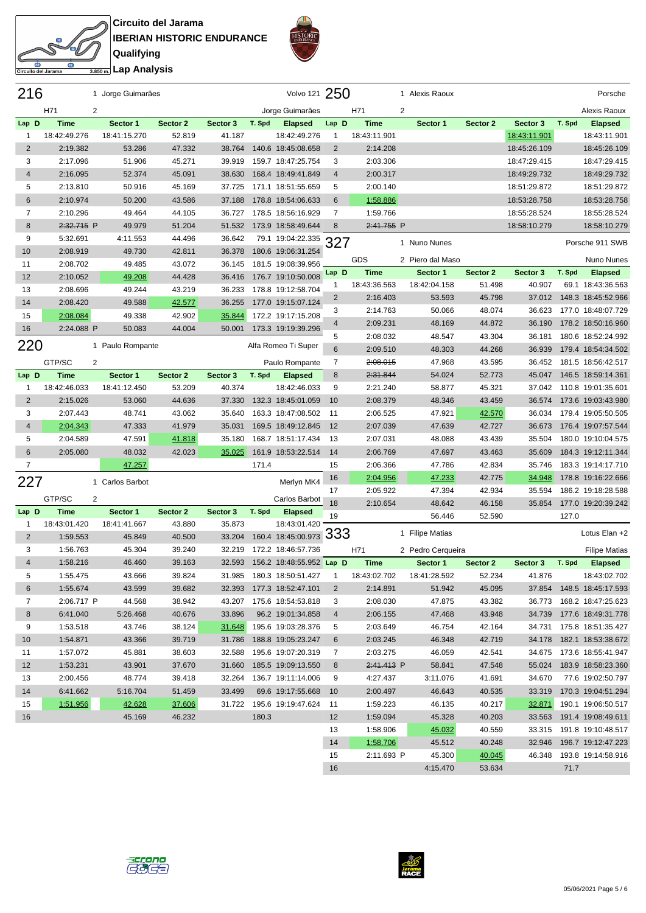**Circuito del Jarama IBERIAN HISTORIC ENDURANCE Qualifying**



|                 | <b>IBERIAN HIS</b>    |
|-----------------|-----------------------|
|                 | Qualifving            |
|                 |                       |
| iito del Jarama | 3.850 m. Lap Analysis |

| 216            |                             | 1 Jorge Guimarães        |                    |                    |        | Volvo 121 250                  |                |              | 1 Alexis Raoux    |          |              |        | Porsche                   |
|----------------|-----------------------------|--------------------------|--------------------|--------------------|--------|--------------------------------|----------------|--------------|-------------------|----------|--------------|--------|---------------------------|
|                | H71                         | 2                        |                    |                    |        | Jorge Guimarães                |                | H71          | 2                 |          |              |        | Alexis Raoux              |
| Lap D          | <b>Time</b>                 | Sector 1                 | Sector 2           | Sector 3           | T. Spd | <b>Elapsed</b>                 | Lap D          | <b>Time</b>  | Sector 1          | Sector 2 | Sector 3     | T. Spd | <b>Elapsed</b>            |
| $\mathbf{1}$   | 18:42:49.276                | 18:41:15.270             | 52.819             | 41.187             |        | 18:42:49.276                   | 1              | 18:43:11.901 |                   |          | 18:43:11.901 |        | 18:43:11.901              |
| $\overline{2}$ | 2:19.382                    | 53.286                   | 47.332             | 38.764             |        | 140.6 18:45:08.658             | 2              | 2:14.208     |                   |          | 18:45:26.109 |        | 18:45:26.109              |
| 3              | 2:17.096                    | 51.906                   | 45.271             | 39.919             |        | 159.7 18:47:25.754             | 3              | 2:03.306     |                   |          | 18:47:29.415 |        | 18:47:29.415              |
| 4              | 2:16.095                    | 52.374                   | 45.091             | 38.630             |        | 168.4 18:49:41.849             | $\overline{4}$ | 2:00.317     |                   |          | 18:49:29.732 |        | 18:49:29.732              |
| 5              | 2:13.810                    | 50.916                   | 45.169             | 37.725             |        | 171.1 18:51:55.659             | 5              | 2:00.140     |                   |          | 18:51:29.872 |        | 18:51:29.872              |
| 6              | 2:10.974                    | 50.200                   | 43.586             | 37.188             |        | 178.8 18:54:06.633             | 6              | 1:58.886     |                   |          | 18:53:28.758 |        | 18:53:28.758              |
| $\overline{7}$ | 2:10.296                    | 49.464                   | 44.105             | 36.727             |        | 178.5 18:56:16.929             | $\overline{7}$ | 1:59.766     |                   |          | 18:55:28.524 |        | 18:55:28.524              |
| 8              | 2:32.715 P                  | 49.979                   | 51.204             | 51.532             |        | 173.9 18:58:49.644             | 8              | 2:41.755 P   |                   |          | 18:58:10.279 |        | 18:58:10.279              |
| 9              | 5:32.691                    | 4:11.553                 | 44.496             | 36.642             |        | 79.1 19:04:22.335              | 327            |              | 1 Nuno Nunes      |          |              |        | Porsche 911 SWB           |
| 10             | 2:08.919                    | 49.730                   | 42.811             | 36.378             |        | 180.6 19:06:31.254             |                |              |                   |          |              |        |                           |
| 11             | 2:08.702                    | 49.485                   | 43.072             | 36.145             |        | 181.5 19:08:39.956             |                | GDS          | 2 Piero dal Maso  |          |              |        | <b>Nuno Nunes</b>         |
| 12             | 2:10.052                    | 49.208                   | 44.428             | 36.416             |        | 176.7 19:10:50.008             | Lap D          | <b>Time</b>  | Sector 1          | Sector 2 | Sector 3     | T. Spd | <b>Elapsed</b>            |
| 13             | 2:08.696                    | 49.244                   | 43.219             | 36.233             |        | 178.8 19:12:58.704             | 1              | 18:43:36.563 | 18:42:04.158      | 51.498   | 40.907       |        | 69.1 18:43:36.563         |
| 14             | 2:08.420                    | 49.588                   | 42.577             | 36.255             |        | 177.0 19:15:07.124             | 2              | 2:16.403     | 53.593            | 45.798   | 37.012       |        | 148.3 18:45:52.966        |
| 15             | 2:08.084                    | 49.338                   | 42.902             | 35.844             |        | 172.2 19:17:15.208             | 3              | 2:14.763     | 50.066            | 48.074   | 36.623       |        | 177.0 18:48:07.729        |
| 16             | 2:24.088 P                  | 50.083                   | 44.004             | 50.001             |        | 173.3 19:19:39.296             | $\overline{4}$ | 2:09.231     | 48.169            | 44.872   | 36.190       |        | 178.2 18:50:16.960        |
| 220            |                             | 1 Paulo Rompante         |                    |                    |        | Alfa Romeo Ti Super            | 5              | 2:08.032     | 48.547            | 43.304   | 36.181       |        | 180.6 18:52:24.992        |
|                |                             |                          |                    |                    |        |                                | $6\phantom{1}$ | 2:09.510     | 48.303            | 44.268   | 36.939       |        | 179.4 18:54:34.502        |
|                | GTP/SC                      | 2                        |                    |                    |        | Paulo Rompante                 | 7              | 2:08.015     | 47.968            | 43.595   | 36.452       |        | 181.5 18:56:42.517        |
| Lap D          | <b>Time</b>                 | Sector 1                 | Sector 2           | Sector 3           | T. Spd | <b>Elapsed</b>                 | 8              | 2:31.844     | 54.024            | 52.773   | 45.047       |        | 146.5 18:59:14.361        |
| 1              | 18:42:46.033                | 18:41:12.450             | 53.209             | 40.374             |        | 18:42:46.033                   | 9              | 2:21.240     | 58.877            | 45.321   | 37.042       |        | 110.8 19:01:35.601        |
| $\overline{2}$ | 2:15.026                    | 53.060                   | 44.636             | 37.330             |        | 132.3 18:45:01.059             | 10             | 2:08.379     | 48.346            | 43.459   | 36.574       |        | 173.6 19:03:43.980        |
| 3              | 2:07.443                    | 48.741                   | 43.062             | 35.640             |        | 163.3 18:47:08.502             | 11             | 2:06.525     | 47.921            | 42.570   | 36.034       |        | 179.4 19:05:50.505        |
| $\overline{4}$ | 2:04.343                    | 47.333                   | 41.979             | 35.031             |        | 169.5 18:49:12.845             | 12             | 2:07.039     | 47.639            | 42.727   | 36.673       |        | 176.4 19:07:57.544        |
| 5              | 2:04.589                    | 47.591                   | 41.818             | 35.180             |        | 168.7 18:51:17.434             | 13             | 2:07.031     | 48.088            | 43.439   | 35.504       |        | 180.0 19:10:04.575        |
| 6              | 2:05.080                    | 48.032                   | 42.023             | 35.025             |        | 161.9 18:53:22.514             | 14             | 2:06.769     | 47.697            | 43.463   | 35.609       |        | 184.3 19:12:11.344        |
| $\overline{7}$ |                             | 47.257                   |                    |                    | 171.4  |                                | 15             | 2:06.366     | 47.786            | 42.834   | 35.746       |        | 183.3 19:14:17.710        |
| 227            |                             | 1 Carlos Barbot          |                    |                    |        | Merlyn MK4                     | 16             | 2:04.956     | 47.233            | 42.775   | 34.948       |        | 178.8 19:16:22.666        |
|                |                             |                          |                    |                    |        |                                | 17             | 2:05.922     | 47.394            | 42.934   | 35.594       |        | 186.2 19:18:28.588        |
|                | GTP/SC                      | 2                        |                    |                    |        | Carlos Barbot                  | 18             | 2:10.654     | 48.642            | 46.158   | 35.854       |        | 177.0 19:20:39.242        |
| Lap D<br>1     | <b>Time</b><br>18:43:01.420 | Sector 1<br>18:41:41.667 | Sector 2<br>43.880 | Sector 3<br>35.873 | T. Spd | <b>Elapsed</b><br>18:43:01.420 | 19             |              | 56.446            | 52.590   |              | 127.0  |                           |
| $\overline{2}$ | 1:59.553                    | 45.849                   | 40.500             | 33.204             |        | 160.4 18:45:00.973             | 333            |              | 1 Filipe Matias   |          |              |        | Lotus Elan +2             |
| 3              | 1:56.763                    | 45.304                   | 39.240             | 32.219             |        | 172.2 18:46:57.736             |                | H71          | 2 Pedro Cerqueira |          |              |        | <b>Filipe Matias</b>      |
| $\overline{4}$ | 1:58.216                    | 46.460                   | 39.163             | 32.593             |        | 156.2 18:48:55.952 Lap D       |                | <b>Time</b>  | Sector 1          | Sector 2 | Sector 3     | T. Spd | <b>Elapsed</b>            |
| 5              | 1:55.475                    | 43.666                   | 39.824             | 31.985             |        | 180.3 18:50:51.427             | $\mathbf{1}$   | 18:43:02.702 | 18:41:28.592      | 52.234   | 41.876       |        | 18:43:02.702              |
| 6              | 1:55.674                    | 43.599                   | 39.682             | 32.393             |        | 177.3 18:52:47.101             | $\overline{2}$ | 2:14.891     | 51.942            | 45.095   | 37.854       |        | 148.5 18:45:17.593        |
| 7              | 2:06.717 P                  | 44.568                   | 38.942             | 43.207             |        | 175.6 18:54:53.818             | 3              | 2:08.030     | 47.875            | 43.382   | 36.773       |        | 168.2 18:47:25.623        |
| 8              | 6:41.040                    | 5:26.468                 | 40.676             | 33.896             |        | 96.2 19:01:34.858              | $\overline{4}$ | 2:06.155     | 47.468            | 43.948   | 34.739       |        | 177.6 18:49:31.778        |
| 9              | 1:53.518                    | 43.746                   | 38.124             | 31.648             |        | 195.6 19:03:28.376             | 5              | 2:03.649     | 46.754            | 42.164   | 34.731       |        | 175.8 18:51:35.427        |
| 10             | 1:54.871                    | 43.366                   | 39.719             | 31.786             |        | 188.8 19:05:23.247             | 6              | 2:03.245     | 46.348            | 42.719   |              |        | 34.178 182.1 18:53:38.672 |
| 11             | 1:57.072                    | 45.881                   | 38.603             | 32.588             |        | 195.6 19:07:20.319             | 7              | 2:03.275     | 46.059            | 42.541   | 34.675       |        | 173.6 18:55:41.947        |
| 12             | 1:53.231                    | 43.901                   | 37.670             | 31.660             |        | 185.5 19:09:13.550             | 8              | 2:41.413 P   | 58.841            | 47.548   | 55.024       |        | 183.9 18:58:23.360        |
| 13             | 2:00.456                    | 48.774                   | 39.418             | 32.264             |        | 136.7 19:11:14.006             | 9              | 4:27.437     | 3:11.076          | 41.691   | 34.670       |        | 77.6 19:02:50.797         |
| 14             | 6:41.662                    | 5:16.704                 | 51.459             | 33.499             |        | 69.6 19:17:55.668              | 10             | 2:00.497     | 46.643            | 40.535   | 33.319       |        | 170.3 19:04:51.294        |
| 15             | 1:51.956                    | 42.628                   | 37.606             | 31.722             |        | 195.6 19:19:47.624             | 11             | 1:59.223     | 46.135            | 40.217   | 32.871       |        | 190.1 19:06:50.517        |
| 16             |                             | 45.169                   | 46.232             |                    | 180.3  |                                | 12             | 1:59.094     | 45.328            | 40.203   |              |        | 33.563 191.4 19:08:49.611 |
|                |                             |                          |                    |                    |        |                                | 13             | 1:58.906     | 45.032            | 40.559   |              |        | 33.315 191.8 19:10:48.517 |
|                |                             |                          |                    |                    |        |                                | 14             | 1:58.706     | 45.512            | 40.248   | 32.946       |        | 196.7 19:12:47.223        |
|                |                             |                          |                    |                    |        |                                | 15             | 2:11.693 P   | 45.300            | 40.045   |              |        | 46.348 193.8 19:14:58.916 |
|                |                             |                          |                    |                    |        |                                | 16             |              | 4:15.470          | 53.634   |              | 71.7   |                           |

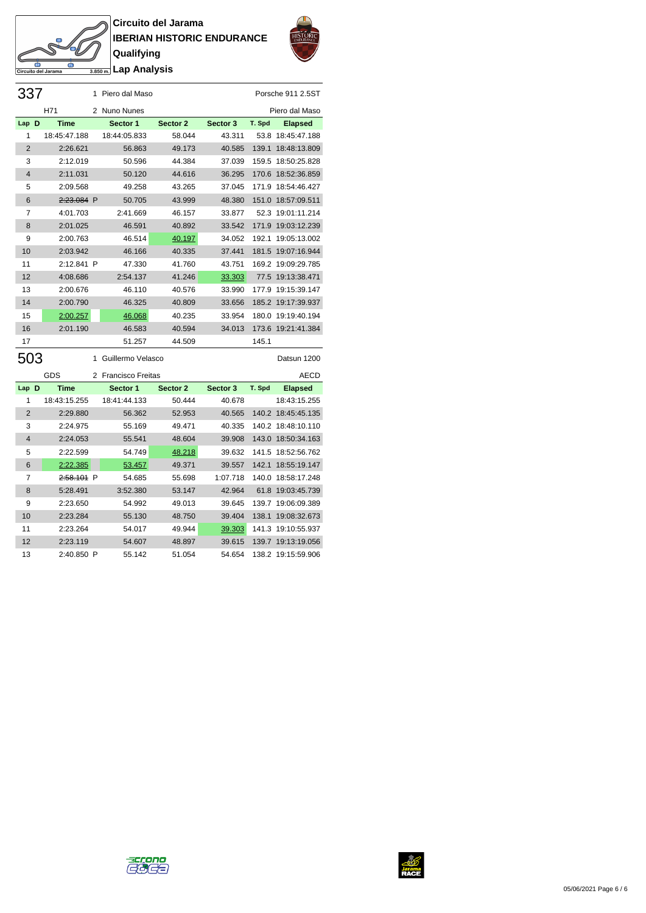## **Circuito del Jarama IBERIAN HISTORIC ENDURANCE Qualifying Lap Analysis**

to del Jarama



| 337            |              | 1 | Piero dal Maso      |          |          |        | Porsche 911 2.5ST  |
|----------------|--------------|---|---------------------|----------|----------|--------|--------------------|
|                | H71          |   | 2 Nuno Nunes        |          |          |        | Piero dal Maso     |
| Lap D          | <b>Time</b>  |   | Sector 1            | Sector 2 | Sector 3 | T. Spd | <b>Elapsed</b>     |
| 1              | 18:45:47.188 |   | 18:44:05.833        | 58.044   | 43.311   | 53.8   | 18:45:47.188       |
| $\overline{2}$ | 2:26.621     |   | 56.863              | 49.173   | 40.585   | 139.1  | 18:48:13.809       |
| 3              | 2:12.019     |   | 50.596              | 44.384   | 37.039   |        | 159.5 18:50:25.828 |
| $\overline{4}$ | 2:11.031     |   | 50.120              | 44.616   | 36.295   |        | 170.6 18:52:36.859 |
| 5              | 2:09.568     |   | 49.258              | 43.265   | 37.045   |        | 171.9 18:54:46.427 |
| 6              | 2:23.084 P   |   | 50.705              | 43.999   | 48.380   |        | 151.0 18:57:09.511 |
| $\overline{7}$ | 4:01.703     |   | 2:41.669            | 46.157   | 33.877   |        | 52.3 19:01:11.214  |
| 8              | 2:01.025     |   | 46.591              | 40.892   | 33.542   | 171.9  | 19:03:12.239       |
| 9              | 2:00.763     |   | 46.514              | 40.197   | 34.052   | 192.1  | 19:05:13.002       |
| 10             | 2:03.942     |   | 46.166              | 40.335   | 37.441   |        | 181.5 19:07:16.944 |
| 11             | 2:12.841 P   |   | 47.330              | 41.760   | 43.751   |        | 169.2 19:09:29.785 |
| 12             | 4:08.686     |   | 2:54.137            | 41.246   | 33.303   |        | 77.5 19:13:38.471  |
| 13             | 2:00.676     |   | 46.110              | 40.576   | 33.990   | 177.9  | 19:15:39.147       |
| 14             | 2:00.790     |   | 46.325              | 40.809   | 33.656   |        | 185.2 19:17:39.937 |
| 15             | 2:00.257     |   | 46.068              | 40.235   | 33.954   | 180.0  | 19:19:40.194       |
| 16             | 2:01.190     |   | 46.583              | 40.594   | 34.013   |        | 173.6 19:21:41.384 |
| 17             |              |   | 51.257              | 44.509   |          | 145.1  |                    |
| 503            |              | 1 | Guillermo Velasco   |          |          |        | Datsun 1200        |
|                | GDS          |   | 2 Francisco Freitas |          |          |        | <b>AECD</b>        |
| Lap D          | <b>Time</b>  |   | Sector 1            | Sector 2 | Sector 3 | T. Spd | <b>Elapsed</b>     |
| 1              | 18:43:15.255 |   | 18:41:44.133        | 50.444   | 40.678   |        | 18:43:15.255       |
| $\overline{2}$ | 2:29.880     |   | 56.362              | 52.953   | 40.565   |        | 140.2 18:45:45.135 |
| 3              | 2:24.975     |   | 55.169              | 49.471   | 40.335   |        | 140.2 18:48:10.110 |
| $\overline{4}$ | 2:24.053     |   | 55.541              | 48.604   | 39.908   | 143.0  | 18:50:34.163       |
| 5              | 2:22.599     |   | 54.749              | 48.218   | 39.632   |        | 141.5 18:52:56.762 |

6 2:22.385 53.457 49.371 39.557 142.1 18:55:19.147 2:58.101 P 54.685 55.698 1:07.718 140.0 18:58:17.248 5:28.491 3:52.380 53.147 42.964 61.8 19:03:45.739 2:23.650 54.992 49.013 39.645 139.7 19:06:09.389 2:23.284 55.130 48.750 39.404 138.1 19:08:32.673 11 2:23.264 54.017 49.944 39.303 141.3 19:10:55.937 2:23.119 54.607 48.897 39.615 139.7 19:13:19.056 2:40.850 P 55.142 51.054 54.654 138.2 19:15:59.906



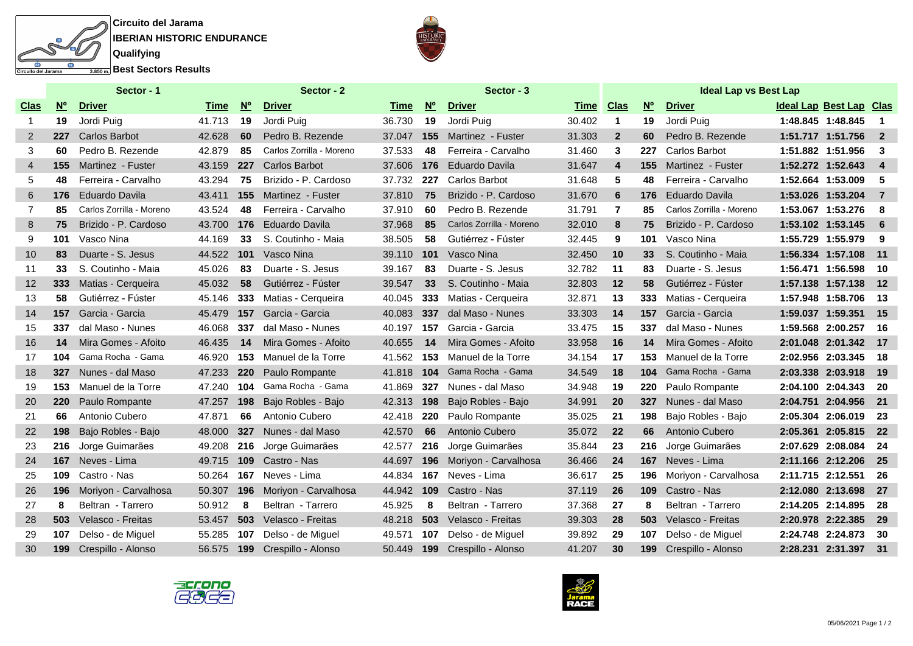



|                   |             | Sector - 1               |        |             | Sector - 2               |        |                 | Sector - 3               | <b>Ideal Lap vs Best Lap</b> |              |             |                          |                                |                      |                         |
|-------------------|-------------|--------------------------|--------|-------------|--------------------------|--------|-----------------|--------------------------|------------------------------|--------------|-------------|--------------------------|--------------------------------|----------------------|-------------------------|
| Clas              | $N^{\circ}$ | <b>Driver</b>            | Time   | $N^{\circ}$ | <b>Driver</b>            | Time   | $N^{\circ}$     | <b>Driver</b>            | <b>Time</b> Clas             |              | $N^{\circ}$ | <b>Driver</b>            | <b>Ideal Lap Best Lap Clas</b> |                      |                         |
|                   | 19          | Jordi Puig               | 41.713 | 19          | Jordi Puig               | 36.730 | 19              | Jordi Puig               | 30.402                       | $\mathbf 1$  | 19          | Jordi Puig               |                                | 1:48.845 1:48.845    | $\blacksquare$          |
| 2                 | 227         | <b>Carlos Barbot</b>     | 42.628 | 60          | Pedro B. Rezende         | 37.047 | 155             | Martinez - Fuster        | 31.303                       | $\mathbf{2}$ | 60          | Pedro B. Rezende         |                                | 1:51.717 1:51.756    | $\overline{\mathbf{2}}$ |
| 3                 | 60          | Pedro B. Rezende         | 42.879 | 85          | Carlos Zorrilla - Moreno | 37.533 | 48              | Ferreira - Carvalho      | 31.460                       | 3            | 227         | Carlos Barbot            |                                | 1:51.882 1:51.956    | - 3                     |
| 4                 | 155         | Martinez - Fuster        | 43.159 | 227         | <b>Carlos Barbot</b>     | 37.606 | 176             | <b>Eduardo Davila</b>    | 31.647                       | 4            | 155         | Martinez - Fuster        |                                | 1:52.272 1:52.643    | $\overline{4}$          |
| 5                 | 48          | Ferreira - Carvalho      | 43.294 | 75          | Brizido - P. Cardoso     | 37.732 | 227             | <b>Carlos Barbot</b>     | 31.648                       | 5            | 48          | Ferreira - Carvalho      | 1:52.664 1:53.009              |                      | - 5                     |
| 6                 | 176         | Eduardo Davila           | 43.411 | 155         | Martinez - Fuster        | 37.810 | 75              | Brizido - P. Cardoso     | 31.670                       | 6            | 176         | <b>Eduardo Davila</b>    |                                | 1:53.026 1:53.204    | $\overline{7}$          |
| 7                 | 85          | Carlos Zorrilla - Moreno | 43.524 | 48          | Ferreira - Carvalho      | 37.910 | 60              | Pedro B. Rezende         | 31.791                       | 7            | 85          | Carlos Zorrilla - Moreno |                                | 1:53.067 1:53.276    | - 8                     |
| 8                 | 75          | Brizido - P. Cardoso     | 43.700 | 176         | <b>Eduardo Davila</b>    | 37.968 | 85              | Carlos Zorrilla - Moreno | 32.010                       | 8            | 75          | Brizido - P. Cardoso     |                                | 1:53.102 1:53.145    | - 6                     |
| 9                 | 101         | Vasco Nina               | 44.169 | 33          | S. Coutinho - Maia       | 38.505 | 58              | Gutiérrez - Fúster       | 32.445                       | 9            | 101         | Vasco Nina               |                                | 1:55.729 1:55.979    | - 9                     |
| 10                | 83          | Duarte - S. Jesus        | 44.522 | 101         | Vasco Nina               | 39.110 | 101             | Vasco Nina               | 32.450                       | 10           | 33          | S. Coutinho - Maia       |                                | 1:56.334 1:57.108    | $-11$                   |
| 11                | 33          | S. Coutinho - Maia       | 45.026 | 83          | Duarte - S. Jesus        | 39.167 | 83              | Duarte - S. Jesus        | 32.782                       | 11           | 83          | Duarte - S. Jesus        | 1:56.471 1:56.598              |                      | - 10                    |
| $12 \overline{ }$ | 333         | Matias - Cerqueira       | 45.032 | 58          | Gutiérrez - Fúster       | 39.547 | 33 <sup>°</sup> | S. Coutinho - Maia       | 32.803                       | 12           | 58          | Gutiérrez - Fúster       |                                | 1:57.138 1:57.138    | 12                      |
| 13                | 58          | Gutiérrez - Fúster       | 45.146 | 333         | Matias - Cerqueira       | 40.045 | 333             | Matias - Cerqueira       | 32.871                       | 13           | 333         | Matias - Cerqueira       | 1:57.948 1:58.706              |                      | - 13                    |
| 14                | 157         | Garcia - Garcia          | 45.479 | 157         | Garcia - Garcia          | 40.083 | 337             | dal Maso - Nunes         | 33.303                       | 14           | 157         | Garcia - Garcia          | 1:59.037 1:59.351              |                      | - 15                    |
| 15                | 337         | dal Maso - Nunes         | 46.068 | 337         | dal Maso - Nunes         | 40.197 | 157             | Garcia - Garcia          | 33.475                       | 15           | 337         | dal Maso - Nunes         |                                | 1:59.568 2:00.257    | - 16                    |
| 16                | 14          | Mira Gomes - Afoito      | 46.435 | 14          | Mira Gomes - Afoito      | 40.655 | 14              | Mira Gomes - Afoito      | 33.958                       | 16           | 14          | Mira Gomes - Afoito      |                                | 2:01.048 2:01.342    | $-17$                   |
| 17                | 104         | Gama Rocha - Gama        | 46.920 | 153         | Manuel de la Torre       | 41.562 | 153             | Manuel de la Torre       | 34.154                       | 17           | 153         | Manuel de la Torre       |                                | 2:02.956 2:03.345    | - 18                    |
| 18                | 327         | Nunes - dal Maso         | 47.233 | 220         | Paulo Rompante           | 41.818 | 104             | Gama Rocha - Gama        | 34.549                       | 18           | 104         | Gama Rocha - Gama        |                                | 2:03.338 2:03.918    | $-19$                   |
| 19                | 153         | Manuel de la Torre       | 47.240 | 104         | Gama Rocha - Gama        | 41.869 | 327             | Nunes - dal Maso         | 34.948                       | 19           | 220         | Paulo Rompante           |                                | 2:04.100 2:04.343    | - 20                    |
| 20                | 220         | Paulo Rompante           | 47.257 | 198         | Bajo Robles - Bajo       | 42.313 | 198             | Bajo Robles - Bajo       | 34.991                       | 20           | 327         | Nunes - dal Maso         |                                | 2:04.751 2:04.956    | 21                      |
| 21                | 66          | Antonio Cubero           | 47.871 | 66          | Antonio Cubero           | 42.418 | 220             | Paulo Rompante           | 35.025                       | 21           | 198         | Bajo Robles - Bajo       |                                | 2:05.304 2:06.019    | - 23                    |
| 22                | 198         | Bajo Robles - Bajo       | 48.000 | 327         | Nunes - dal Maso         | 42.570 | 66              | Antonio Cubero           | 35.072                       | 22           | 66          | Antonio Cubero           |                                | 2:05.361 2:05.815    | 22                      |
| 23                | 216         | Jorge Guimarães          | 49.208 | 216         | Jorge Guimarães          | 42.577 | 216             | Jorge Guimarães          | 35.844                       | 23           | 216         | Jorge Guimarães          |                                | 2:07.629 2:08.084    | - 24                    |
| 24                | 167         | Neves - Lima             | 49.715 | 109         | Castro - Nas             | 44.697 | 196             | Moriyon - Carvalhosa     | 36.466                       | 24           | 167         | Neves - Lima             |                                | 2:11.166 2:12.206    | - 25                    |
| 25                | 109         | Castro - Nas             | 50.264 | 167         | Neves - Lima             | 44.834 | 167             | Neves - Lima             | 36.617                       | 25           | 196         | Moriyon - Carvalhosa     | 2:11.715 2:12.551              |                      | - 26                    |
| 26                | 196         | Moriyon - Carvalhosa     | 50.307 | 196         | Moriyon - Carvalhosa     | 44.942 | 109             | Castro - Nas             | 37.119                       | 26           | 109         | Castro - Nas             |                                | 2:12.080 2:13.698    | 27                      |
| 27                | 8           | Beltran - Tarrero        | 50.912 | 8           | Beltran - Tarrero        | 45.925 | 8               | Beltran - Tarrero        | 37.368                       | 27           | 8           | Beltran - Tarrero        |                                | 2:14.205 2:14.895    | -28                     |
| 28                | 503         | Velasco - Freitas        | 53.457 | 503         | Velasco - Freitas        | 48.218 | 503             | Velasco - Freitas        | 39.303                       | 28           | 503         | Velasco - Freitas        |                                | 2:20.978 2:22.385    | - 29                    |
| 29                | 107         | Delso - de Miguel        | 55.285 | 107         | Delso - de Miguel        | 49.571 | 107             | Delso - de Miguel        | 39.892                       | 29           | 107         | Delso - de Miguel        |                                | 2:24.748 2:24.873    | - 30                    |
| 30                | 199         | Crespillo - Alonso       | 56.575 | 199         | Crespillo - Alonso       | 50.449 |                 | 199 Crespillo - Alonso   | 41.207                       | 30           | 199         | Crespillo - Alonso       |                                | 2:28.231 2:31.397 31 |                         |
|                   |             |                          |        |             |                          |        |                 |                          |                              |              |             |                          |                                |                      |                         |



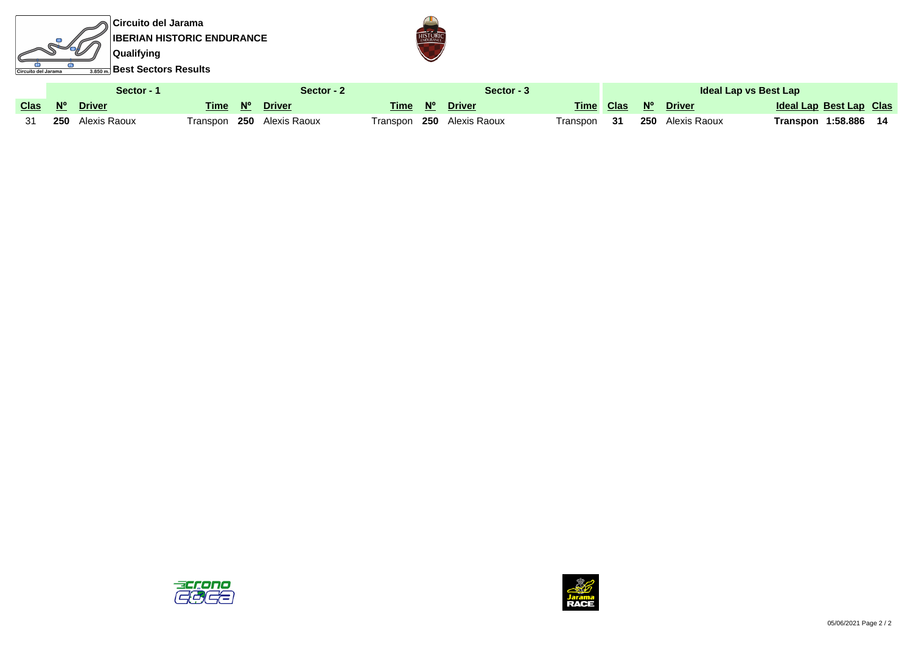**Circuito del Jarama IBERIAN HISTORIC ENDURANCE GET Qualifying** क ъ  $\frac{1}{\sqrt{3.850 \text{ m}}}$ Best Sectors Results Circuito del Jarama



|  | Sector - ˈ              | Sector - 2 | Sector - 3                |  |                           | Ideal Lap vs Best Lap |  |  |                         |                         |  |
|--|-------------------------|------------|---------------------------|--|---------------------------|-----------------------|--|--|-------------------------|-------------------------|--|
|  | Clas Nº Driver          | Time N°    | <b>Driver</b>             |  | Time N° Driver            |                       |  |  | Time Clas Nº Driver     | Ideal Lap Best Lap Clas |  |
|  | <b>250</b> Alexis Raoux |            | Transpon 250 Alexis Raoux |  | Transpon 250 Alexis Raoux | Transpon <b>31</b>    |  |  | <b>250</b> Alexis Raoux | Transpon 1:58.886       |  |



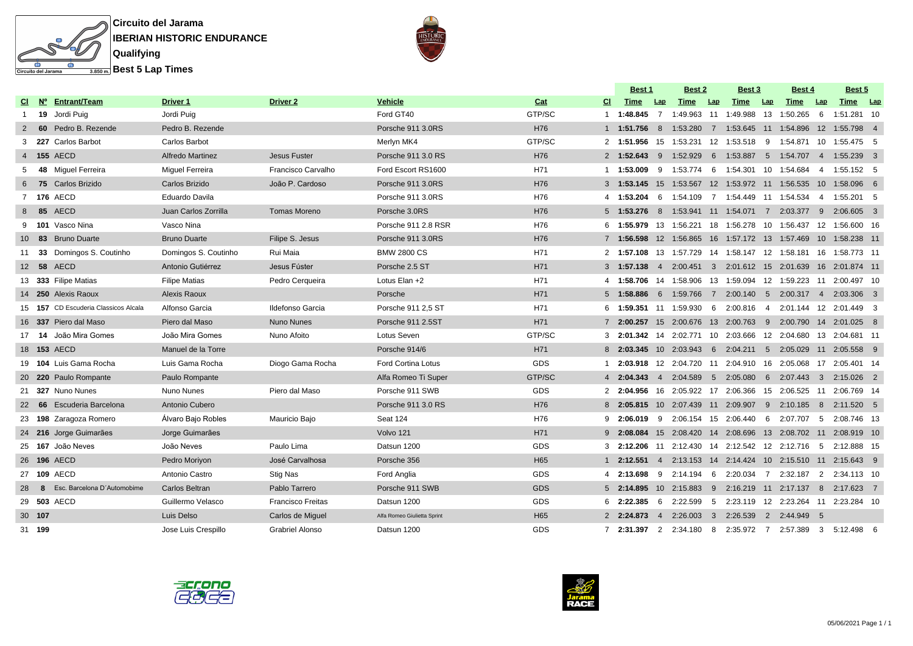

| <b>Circuito del Jarama</b>                   |
|----------------------------------------------|
| <b>IBERIAN HISTORIC ENDURANCE</b>            |
| Qualifying                                   |
| $\frac{1}{3.850 \text{ m}}$ Best 5 Lap Times |
|                                              |

|   |                |                                      |                         |                          |                             |                 |     | <b>Best 1</b>              |                | Best 2   |     | <b>Best 3</b>                                                                    |     | Best 4      |     | Best 5                    |  |
|---|----------------|--------------------------------------|-------------------------|--------------------------|-----------------------------|-----------------|-----|----------------------------|----------------|----------|-----|----------------------------------------------------------------------------------|-----|-------------|-----|---------------------------|--|
|   |                | CI Nº Entrant/Team                   | Driver 1                | Driver <sub>2</sub>      | <b>Vehicle</b>              | Cat             | CI. | Time                       | Lap            | Time     | Lap | Time                                                                             | Lap | Time        | Lap | Time Lap                  |  |
|   |                | 1 19 Jordi Puig                      | Jordi Puig              |                          | Ford GT40                   | GTP/SC          |     | 1 1:48.845                 | 7              | 1:49.963 |     | 11 1:49.988 13 1:50.265                                                          |     |             | - 6 | 1:51.281 10               |  |
| 2 |                | 60 Pedro B. Rezende                  | Pedro B. Rezende        |                          | Porsche 911 3.0RS           | H76             |     | 1 1:51.756                 | 8              |          |     | 1:53.280  7  1:53.645  11  1:54.896  12  1:55.798  4                             |     |             |     |                           |  |
| 3 |                | 227 Carlos Barbot                    | Carlos Barbot           |                          | Merlyn MK4                  | GTP/SC          |     | 2 1:51.956                 |                |          |     | 15  1:53.231  12  1:53.518  9  1:54.871  10  1:55.475  5                         |     |             |     |                           |  |
|   | 4 155 AECD     |                                      | <b>Alfredo Martinez</b> | Jesus Fuster             | Porsche 911 3.0 RS          | H76             |     | $2 \quad 1:52.643 \quad 9$ |                | 1:52.929 |     | 6   1:53.887   5   1:54.707   4   1:55.239   3                                   |     |             |     |                           |  |
| 5 |                | 48 Miquel Ferreira                   | <b>Miquel Ferreira</b>  | Francisco Carvalho       | Ford Escort RS1600          | H71             |     | 1 1:53.009                 | - 9            | 1:53.774 | -6  | 1:54.301                                                                         |     | 10 1:54.684 | 4   | 1:55.152 5                |  |
| 6 |                | 75 Carlos Brizido                    | Carlos Brizido          | João P. Cardoso          | Porsche 911 3.0RS           | H76             |     |                            |                |          |     | 3   1:53.145   15   1:53.567   12   1:53.972   11   1:56.535   10   1:58.096   6 |     |             |     |                           |  |
|   | 7 176 AECD     |                                      | Eduardo Davila          |                          | Porsche 911 3.0RS           | H76             |     |                            |                |          |     | 4 1:53.204 6 1:54.109 7 1:54.449 11 1:54.534                                     |     |             |     | 4 1:55.201 5              |  |
|   | 8 85 AECD      |                                      | Juan Carlos Zorrilla    | <b>Tomas Moreno</b>      | Porsche 3.0RS               | H76             |     |                            |                |          |     | 5 1:53.276 8 1:53.941 11 1:54.071 7 2:03.377 9 2:06.605 3                        |     |             |     |                           |  |
| 9 |                | <b>101</b> Vasco Nina                | Vasco Nina              |                          | Porsche 911 2.8 RSR         | H76             |     |                            |                |          |     | 6 1:55.979 13 1:56.221 18 1:56.278 10 1:56.437                                   |     |             |     | 12 1:56.600 16            |  |
|   |                | 10 83 Bruno Duarte                   | <b>Bruno Duarte</b>     | Filipe S. Jesus          | Porsche 911 3.0RS           | H76             |     |                            |                |          |     | 7   1:56.598  12  1:56.865  16  1:57.172  13  1:57.469  10  1:58.238  11         |     |             |     |                           |  |
|   | 11 33          | Domingos S. Coutinho                 | Domingos S. Coutinho    | Rui Maia                 | <b>BMW 2800 CS</b>          | H71             |     |                            |                |          |     | 2 1:57.108 13 1:57.729 14 1:58.147 12 1:58.181 16 1:58.773 11                    |     |             |     |                           |  |
|   | 12 58 AECD     |                                      | Antonio Gutiérrez       | Jesus Fúster             | Porsche 2.5 ST              | H71             |     | 3 1:57.138                 | $\overline{4}$ |          |     | 2:00.451 3 2:01.612 15 2:01.639 16 2:01.874 11                                   |     |             |     |                           |  |
|   |                | 13 333 Filipe Matias                 | <b>Filipe Matias</b>    | Pedro Cerqueira          | Lotus Elan +2               | H71             |     |                            |                |          |     | 4  1:58.706  14  1:58.906  13  1:59.094  12  1:59.223  11  2:00.497  10          |     |             |     |                           |  |
|   |                | 14 250 Alexis Raoux                  | Alexis Raoux            |                          | Porsche                     | H71             |     | $5 \quad 1:58.886$         |                |          |     | 6 1:59.766 7 2:00.140 5 2:00.317 4                                               |     |             |     | 2:03.306 3                |  |
|   |                | 15 157 CD Escuderia Classicos Alcala | Alfonso Garcia          | Ildefonso Garcia         | Porsche 911 2,5 ST          | H71             |     |                            |                |          |     | 6  1:59.351  11  1:59.930  6  2:00.816  4  2:01.144  12  2:01.449  3             |     |             |     |                           |  |
|   |                | 16 337 Piero dal Maso                | Piero dal Maso          | <b>Nuno Nunes</b>        | Porsche 911 2.5ST           | H71             |     |                            |                |          |     | 7 2:00.257 15 2:00.676 13 2:00.763 9                                             |     |             |     | 2:00.790  14  2:01.025  8 |  |
|   |                | 17 14 João Mira Gomes                | João Mira Gomes         | Nuno Afoito              | Lotus Seven                 | GTP/SC          |     |                            |                |          |     | 3 2:01.342 14 2:02.771 10 2:03.666 12 2:04.680 13 2:04.681 11                    |     |             |     |                           |  |
|   | 18 153 AECD    |                                      | Manuel de la Torre      |                          | Porsche 914/6               | H71             |     |                            |                |          |     | 8 2:03.345 10 2:03.943 6 2:04.211 5 2:05.029 11 2:05.558 9                       |     |             |     |                           |  |
|   |                | 19 104 Luis Gama Rocha               | Luis Gama Rocha         | Diogo Gama Rocha         | <b>Ford Cortina Lotus</b>   | <b>GDS</b>      |     | 1 2:03.918                 |                |          |     | 12 2:04.720 11 2:04.910 16 2:05.068                                              |     |             |     | 17 2:05.401 14            |  |
|   |                | 20 220 Paulo Rompante                | Paulo Rompante          |                          | Alfa Romeo Ti Super         | GTP/SC          |     |                            |                |          |     | 4 2:04.343 4 2:04.589 5 2:05.080 6 2:07.443 3 2:15.026 2                         |     |             |     |                           |  |
|   |                | 21 327 Nuno Nunes                    | Nuno Nunes              | Piero dal Maso           | Porsche 911 SWB             | <b>GDS</b>      |     | 2 2:04.956                 |                |          |     | 16  2:05.922  17  2:06.366  15  2:06.525  11  2:06.769  14                       |     |             |     |                           |  |
|   |                | 22 66 Escuderia Barcelona            | Antonio Cubero          |                          | Porsche 911 3.0 RS          | H76             |     |                            |                |          |     | 8 2:05.815 10 2:07.439 11 2:09.907 9 2:10.185 8 2:11.520 5                       |     |             |     |                           |  |
|   |                | 23 198 Zaragoza Romero               | Alvaro Bajo Robles      | Mauricio Bajo            | Seat 124                    | H76             | 9   | 2:06.019                   | - 9            |          |     | 2:06.154 15 2:06.440                                                             | - 6 | 2:07.707    | - 5 | 2:08.746 13               |  |
|   |                | 24 216 Jorge Guimarães               | Jorge Guimarães         |                          | Volvo 121                   | H71             |     | $9$ 2:08.084               |                |          |     | 15  2:08.420  14  2:08.696  13  2:08.702  11  2:08.919  10                       |     |             |     |                           |  |
|   |                | 25 167 João Neves                    | João Neves              | Paulo Lima               | Datsun 1200                 | <b>GDS</b>      |     |                            |                |          |     | 3 2:12.206 11 2:12.430 14 2:12.542 12 2:12.716 5                                 |     |             |     | 2:12.888 15               |  |
|   | 26 196 AECD    |                                      | Pedro Moriyon           | José Carvalhosa          | Porsche 356                 | H <sub>65</sub> |     | $1 \quad 2:12.551$         | $\overline{4}$ |          |     | 2:13.153  14  2:14.424  10  2:15.510  11  2:15.643  9                            |     |             |     |                           |  |
|   | 27 109 AECD    |                                      | Antonio Castro          | Stig Nas                 | Ford Anglia                 | <b>GDS</b>      |     | 4 2:13.698                 | - 9            | 2:14.194 |     | 6 2:20.034 7 2:32.187                                                            |     |             | 2   | 2:34.113 10               |  |
|   |                | 28 8 Esc. Barcelona D'Automobime     | Carlos Beltran          | Pablo Tarrero            | Porsche 911 SWB             | <b>GDS</b>      |     |                            |                |          |     | 5 2:14.895 10 2:15.883 9 2:16.219 11 2:17.137 8 2:17.623 7                       |     |             |     |                           |  |
|   | 29 503 AECD    |                                      | Guillermo Velasco       | <b>Francisco Freitas</b> | Datsun 1200                 | <b>GDS</b>      |     | $6$ 2:22.385               |                |          |     | 6 2:22.599 5 2:23.119 12 2:23.264 11 2:23.284 10                                 |     |             |     |                           |  |
|   | 30 1 <b>07</b> |                                      | Luis Delso              | Carlos de Miguel         | Alfa Romeo Giulietta Sprint | H <sub>65</sub> |     | 2 2:24.873                 | $\overline{4}$ | 2:26.003 |     | 3 2:26.539 2 2:44.949 5                                                          |     |             |     |                           |  |
|   | 31 199         |                                      | Jose Luis Crespillo     | <b>Grabriel Alonso</b>   | Datsun 1200                 | <b>GDS</b>      |     | 7 2:31.397                 |                |          |     | 2 2:34.180 8 2:35.972 7 2:57.389                                                 |     |             |     | 3 5:12.498 6              |  |
|   |                |                                      |                         |                          |                             |                 |     |                            |                |          |     |                                                                                  |     |             |     |                           |  |



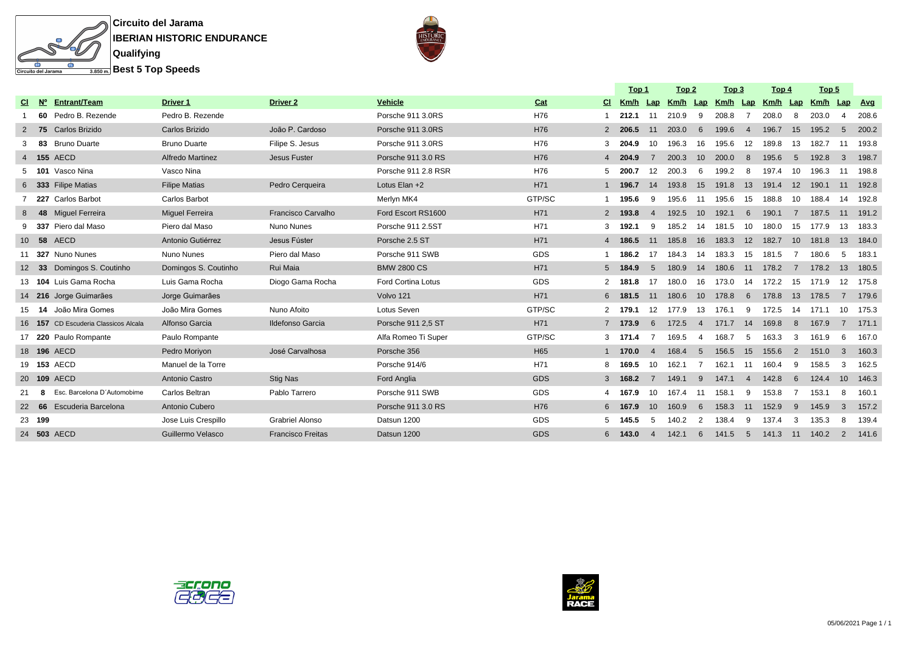

|  |  | <b>IBERIAN HISTORIC ENDURANCE</b> |
|--|--|-----------------------------------|
|  |  |                                   |

|                 |        |                               |                         |                          |                           |                 |                | Top 1 |                | Top <sub>2</sub> |                 | Top 3             |                | Top 4 |                | <u>Top 5</u> |                |                |
|-----------------|--------|-------------------------------|-------------------------|--------------------------|---------------------------|-----------------|----------------|-------|----------------|------------------|-----------------|-------------------|----------------|-------|----------------|--------------|----------------|----------------|
| CI.             | N°     | <b>Entrant/Team</b>           | <b>Driver 1</b>         | Driver <sub>2</sub>      | <b>Vehicle</b>            | Cat             | CI.            | Km/h  |                | Lap Km/h Lap     |                 | Km/h Lap Km/h Lap |                |       |                | Km/h         |                | <u>Lap Avg</u> |
|                 | 60     | Pedro B. Rezende              | Pedro B. Rezende        |                          | Porsche 911 3.0RS         | H76             |                | 212.1 | 11             | 210.9            | 9               | 208.8             |                | 208.0 | 8              | 203.0        | -4             | 208.6          |
| 2               | 75     | Carlos Brizido                | Carlos Brizido          | João P. Cardoso          | Porsche 911 3.0RS         | H76             | $\mathbf{2}$   | 206.5 | 11             | 203.0            | 6               | 199.6             |                | 196.7 | 15             | 195.2        | -5             | 200.2          |
| 3               | 83     | <b>Bruno Duarte</b>           | <b>Bruno Duarte</b>     | Filipe S. Jesus          | Porsche 911 3.0RS         | H76             | 3              | 204.9 | 10             | 196.3            | 16              | 195.6             | 12             | 189.8 | 13             | 182.7        | 11             | 193.8          |
|                 |        | 4 155 AECD                    | <b>Alfredo Martinez</b> | Jesus Fuster             | Porsche 911 3.0 RS        | H76             | $\overline{4}$ | 204.9 | $\overline{7}$ | 200.3            | 10              | 200.0             | 8              | 195.6 | 5              | 192.8        | 3              | 198.7          |
| 5               | 101    | Vasco Nina                    | Vasco Nina              |                          | Porsche 911 2.8 RSR       | H76             | 5              | 200.7 | 12             | 200.3            | 6               | 199.2             | 8              | 197.4 | 10             | 196.3        | 11             | 198.8          |
|                 | 6 333  | <b>Filipe Matias</b>          | <b>Filipe Matias</b>    | Pedro Cerqueira          | Lotus Elan +2             | H71             | $\mathbf{1}$   | 196.7 | 14             | 193.8            | 15              | 191.8             | 13             | 191.4 | 12             | 190.1        | 11             | 192.8          |
|                 | - 227  | Carlos Barbot                 | Carlos Barbot           |                          | Merlyn MK4                | GTP/SC          |                | 195.6 | 9              | 195.6            |                 | 195.6             | 15             | 188.8 | 10             | 188.4        | 14             | 192.8          |
| 8               | 48     | <b>Miguel Ferreira</b>        | <b>Miquel Ferreira</b>  | Francisco Carvalho       | Ford Escort RS1600        | H71             | 2              | 193.8 | $\overline{4}$ | 192.5            | 10 <sup>1</sup> | 192.1             | 6              | 190.1 | $\overline{7}$ | 187.5        | 11             | 191.2          |
|                 |        | 9 337 Piero dal Maso          | Piero dal Maso          | Nuno Nunes               | Porsche 911 2.5ST         | H71             | 3              | 192.1 | 9              | 185.2            | 14              | 181.5             | 10             | 180.0 | 15             | 177.9        | 13             | 183.3          |
| 10 <sup>1</sup> | 58     | AECD                          | Antonio Gutiérrez       | Jesus Fúster             | Porsche 2.5 ST            | H71             | $\overline{4}$ | 186.5 | 11             | 185.8            | 16              | 183.3             | 12             | 182.7 | 10             | 181.8        | 13             | 184.0          |
|                 |        | 11 327 Nuno Nunes             | Nuno Nunes              | Piero dal Maso           | Porsche 911 SWB           | <b>GDS</b>      |                | 186.2 | 17             | 184.3            | 14              | 183.3             | 15             | 181.5 |                | 180.6        | -5             | 183.1          |
|                 | 33     | Domingos S. Coutinho          | Domingos S. Coutinho    | Rui Maia                 | <b>BMW 2800 CS</b>        | H71             | 5              | 184.9 | 5              | 180.9            | 14              | 180.6             | 11             | 178.2 | $\overline{7}$ | 178.2        | 13             | 180.5          |
|                 |        | 13 104 Luis Gama Rocha        | Luis Gama Rocha         | Diogo Gama Rocha         | <b>Ford Cortina Lotus</b> | <b>GDS</b>      |                | 181.8 | 17             | 180.0            | 16              | 173.0             | -14            | 172.2 | 15             | 171.9        | 12             | - 175.8        |
|                 |        | 14 216 Jorge Guimarães        | Jorge Guimarães         |                          | Volvo 121                 | H71             | 6              | 181.5 | 11             | 180.6            | 10              | 178.8             | 6              | 178.8 | 13             | 178.5        | 7              | 179.6          |
|                 | 15 14  | João Mira Gomes               | João Mira Gomes         | Nuno Afoito              | Lotus Seven               | GTP/SC          | 2              | 179.1 | 12             | 177.9            | 13              | 176.1             | 9              | 172.5 | 14             | 171.1        | 10             | 175.3          |
|                 | 16 157 | CD Escuderia Classicos Alcala | Alfonso Garcia          | <b>Ildefonso Garcia</b>  | Porsche 911 2,5 ST        | H71             | $7^{\circ}$    | 173.9 | 6              | 172.5            | $\overline{4}$  | 171.7             | 14             | 169.8 | 8              | 167.9        |                | 171.1          |
|                 |        | 17 220 Paulo Rompante         | Paulo Rompante          |                          | Alfa Romeo Ti Super       | GTP/SC          | 3              | 171.4 | 7              | 169.5            | 4               | 168.7             | -5             | 163.3 | 3              | 161.9        | 6              | 167.0          |
|                 |        | 18 196 AECD                   | Pedro Moriyon           | José Carvalhosa          | Porsche 356               | H <sub>65</sub> | 1              | 170.0 | $\overline{4}$ | 168.4            | 5               | 156.5             | 15             | 155.6 | $\overline{2}$ | 151.0        | $\mathbf{3}$   | 160.3          |
|                 |        | 19 153 AECD                   | Manuel de la Torre      |                          | Porsche 914/6             | H71             | 8              | 169.5 | 10             | 162.1            | -7              | 162.1             | -11            | 160.4 | -9             | 158.5        | 3              | 162.5          |
|                 |        | 20 109 AECD                   | Antonio Castro          | <b>Stig Nas</b>          | Ford Anglia               | <b>GDS</b>      | 3              | 168.2 |                | 149.1            | 9               | 147.1             | $\overline{4}$ | 142.8 | 6              | 124.4        | 10             | 146.3          |
| 21              |        | Esc. Barcelona D'Automobime   | Carlos Beltran          | Pablo Tarrero            | Porsche 911 SWB           | <b>GDS</b>      |                | 167.9 | 10             | 167.4            | -11             | 158.1             | 9              | 153.8 | -7             | 153.1        | 8              | 160.1          |
|                 | 22 66  | Escuderia Barcelona           | Antonio Cubero          |                          | Porsche 911 3.0 RS        | H76             | 6              | 167.9 | 10             | 160.9            | 6               | 158.3             | 11             | 152.9 | 9              | 145.9        | 3              | 157.2          |
|                 | 23 199 |                               | Jose Luis Crespillo     | <b>Grabriel Alonso</b>   | Datsun 1200               | <b>GDS</b>      | 5              | 145.5 | -5             | 140.2            | 2               | 138.4             | 9              | 137.4 | 3              | 135.3        | -8             | 139.4          |
|                 |        | 24 503 AECD                   | Guillermo Velasco       | <b>Francisco Freitas</b> | Datsun 1200               | <b>GDS</b>      | 6              | 143.0 | 4              | 142.1            | 6               | 141.5             | 5              | 141.3 | 11             | 140.2        | $\overline{2}$ | 141.6          |
|                 |        |                               |                         |                          |                           |                 |                |       |                |                  |                 |                   |                |       |                |              |                |                |



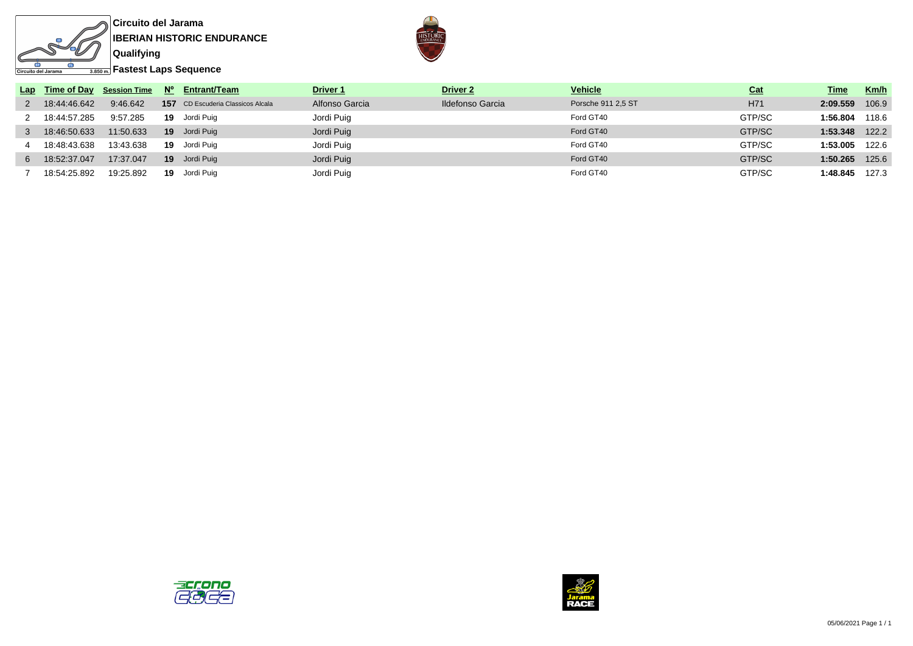



**Fastest Laps Sequence**

|    |              |           |    | Lap Time of Day Session Time $N^{\circ}$ Entrant/Team | Driver <sub>1</sub> | Driver <sub>2</sub>     | <b>Vehicle</b>     | <b>Cat</b> | Time               | Km/h  |
|----|--------------|-----------|----|-------------------------------------------------------|---------------------|-------------------------|--------------------|------------|--------------------|-------|
|    | 18:44:46.642 | 9:46.642  |    | 157 CD Escuderia Classicos Alcala                     | Alfonso Garcia      | <b>Ildefonso Garcia</b> | Porsche 911 2.5 ST | H71        | 2:09.559           | 106.9 |
|    | 18:44:57.285 | 9:57.285  |    | 19 Jordi Puig                                         | Jordi Puig          |                         | Ford GT40          | GTP/SC     | 1:56.804           | 118.6 |
|    | 18:46:50.633 | 11:50.633 |    | 19 Jordi Puig                                         | Jordi Puig          |                         | Ford GT40          | GTP/SC     | $1:53.348$ $122.2$ |       |
|    | 18:48:43.638 | 13:43.638 |    | 19 Jordi Puig                                         | Jordi Puig          |                         | Ford GT40          | GTP/SC     | 1:53.005           | 122.6 |
| 6. | 18:52:37.047 | 17:37.047 |    | 19 Jordi Puig                                         | Jordi Puig          |                         | Ford GT40          | GTP/SC     | 1:50.265           | 125.6 |
|    | 18:54:25.892 | 19:25.892 | 19 | Jordi Puig                                            | Jordi Puig          |                         | Ford GT40          | GTP/SC     | 1:48.845           | 127.3 |



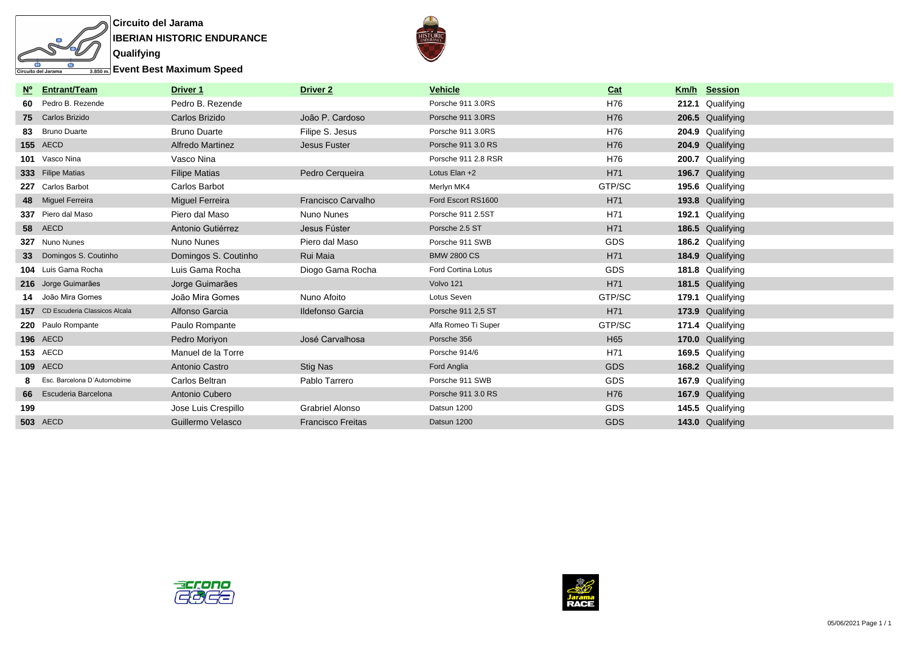



**Event Best Maximum Speed**

|                 | Nº Entrant/Team                   | Driver 1               | <b>Driver 2</b>           | <b>Vehicle</b>      | Cat        | Km/h Session     |
|-----------------|-----------------------------------|------------------------|---------------------------|---------------------|------------|------------------|
| 60              | Pedro B. Rezende                  | Pedro B. Rezende       |                           | Porsche 911 3.0RS   | H76        | 212.1 Qualifying |
|                 | 75 Carlos Brizido                 | Carlos Brizido         | João P. Cardoso           | Porsche 911 3.0RS   | H76        | 206.5 Qualifying |
| 83              | <b>Bruno Duarte</b>               | <b>Bruno Duarte</b>    | Filipe S. Jesus           | Porsche 911 3.0RS   | H76        | 204.9 Qualifying |
|                 | <b>155 AECD</b>                   | Alfredo Martinez       | Jesus Fuster              | Porsche 911 3.0 RS  | H76        | 204.9 Qualifying |
|                 | 101 Vasco Nina                    | Vasco Nina             |                           | Porsche 911 2.8 RSR | H76        | 200.7 Qualifying |
|                 | 333 Filipe Matias                 | <b>Filipe Matias</b>   | Pedro Cerqueira           | Lotus Elan +2       | H71        | 196.7 Qualifying |
|                 | 227 Carlos Barbot                 | Carlos Barbot          |                           | Merlyn MK4          | GTP/SC     | 195.6 Qualifying |
|                 | 48 Miguel Ferreira                | <b>Miguel Ferreira</b> | <b>Francisco Carvalho</b> | Ford Escort RS1600  | H71        | 193.8 Qualifying |
|                 | 337 Piero dal Maso                | Piero dal Maso         | Nuno Nunes                | Porsche 911 2.5ST   | H71        | 192.1 Qualifying |
|                 | 58 AECD                           | Antonio Gutiérrez      | Jesus Fúster              | Porsche 2.5 ST      | H71        | 186.5 Qualifying |
|                 | 327 Nuno Nunes                    | Nuno Nunes             | Piero dal Maso            | Porsche 911 SWB     | <b>GDS</b> | 186.2 Qualifying |
| 33 <sup>°</sup> | Domingos S. Coutinho              | Domingos S. Coutinho   | Rui Maia                  | <b>BMW 2800 CS</b>  | H71        | 184.9 Qualifying |
|                 | 104 Luis Gama Rocha               | Luis Gama Rocha        | Diogo Gama Rocha          | Ford Cortina Lotus  | <b>GDS</b> | 181.8 Qualifying |
|                 | 216 Jorge Guimarães               | Jorge Guimarães        |                           | Volvo 121           | H71        | 181.5 Qualifying |
|                 | 14 João Mira Gomes                | João Mira Gomes        | Nuno Afoito               | Lotus Seven         | GTP/SC     | 179.1 Qualifying |
|                 | 157 CD Escuderia Classicos Alcala | Alfonso Garcia         | <b>Ildefonso Garcia</b>   | Porsche 911 2,5 ST  | H71        | 173.9 Qualifying |
|                 | 220 Paulo Rompante                | Paulo Rompante         |                           | Alfa Romeo Ti Super | GTP/SC     | 171.4 Qualifying |
|                 | <b>196 AECD</b>                   | Pedro Moriyon          | José Carvalhosa           | Porsche 356         | H65        | 170.0 Qualifying |
|                 | <b>153 AECD</b>                   | Manuel de la Torre     |                           | Porsche 914/6       | H71        | 169.5 Qualifying |
|                 | <b>109 AECD</b>                   | Antonio Castro         | Stig Nas                  | Ford Anglia         | <b>GDS</b> | 168.2 Qualifying |
|                 | Esc. Barcelona D'Automobime       | Carlos Beltran         | Pablo Tarrero             | Porsche 911 SWB     | GDS        | 167.9 Qualifying |
|                 | 66 Escuderia Barcelona            | Antonio Cubero         |                           | Porsche 911 3.0 RS  | H76        | 167.9 Qualifying |
| 199             |                                   | Jose Luis Crespillo    | <b>Grabriel Alonso</b>    | Datsun 1200         | <b>GDS</b> | 145.5 Qualifying |
|                 | <b>503 AECD</b>                   | Guillermo Velasco      | <b>Francisco Freitas</b>  | Datsun 1200         | <b>GDS</b> | 143.0 Qualifying |



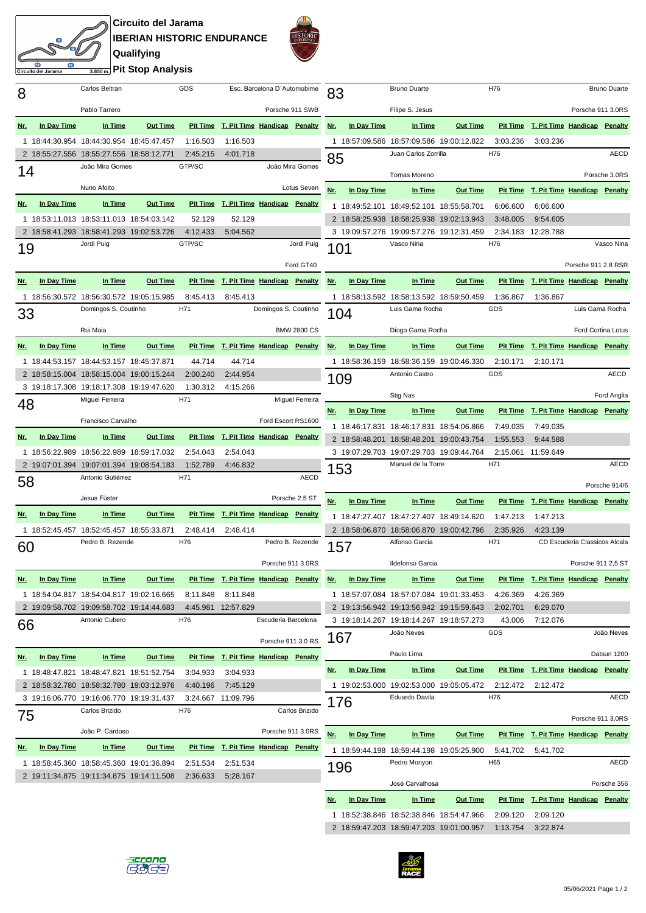**Circuito del Jarama IBERIAN HISTORIC ENDURANCE Qualifying Pit Stop Analysis**

ito del Jarama



| 8          |             | Carlos Beltran                           |                                                                                      | GDS                  |                                              | Esc. Barcelona D'Automobime |                    | 83         |             | <b>Bruno Duarte</b>                                            |                 | H76             |                                              |                               | <b>Bruno Duarte</b> |
|------------|-------------|------------------------------------------|--------------------------------------------------------------------------------------|----------------------|----------------------------------------------|-----------------------------|--------------------|------------|-------------|----------------------------------------------------------------|-----------------|-----------------|----------------------------------------------|-------------------------------|---------------------|
|            |             | Pablo Tarrero                            |                                                                                      |                      |                                              | Porsche 911 SWB             |                    |            |             | Filipe S. Jesus                                                |                 |                 |                                              | Porsche 911 3.0RS             |                     |
| Nr.        | In Day Time | In Time                                  | <b>Out Time</b>                                                                      |                      | Pit Time T. Pit Time Handicap Penalty        |                             |                    | Nr.        | In Day Time | In Time                                                        | <b>Out Time</b> |                 | <b>Pit Time T. Pit Time Handicap Penalty</b> |                               |                     |
|            |             |                                          | 1 18:44:30.954 18:44:30.954 18:45:47.457                                             | 1:16.503             | 1:16.503                                     |                             |                    |            |             | 1 18:57:09.586 18:57:09.586 19:00:12.822                       |                 | 3:03.236        | 3:03.236                                     |                               |                     |
|            |             | 2 18:55:27.556 18:55:27.556 18:58:12.771 |                                                                                      | 2:45.215             | 4:01.718                                     |                             |                    |            |             | Juan Carlos Zorrilla                                           |                 | H76             |                                              |                               | <b>AECD</b>         |
| 14         |             | João Mira Gomes                          |                                                                                      | GTP/SC               |                                              |                             | João Mira Gomes    | 85         |             |                                                                |                 |                 |                                              |                               |                     |
|            |             |                                          |                                                                                      |                      |                                              |                             |                    |            |             | Tomas Moreno                                                   |                 |                 |                                              |                               | Porsche 3.0RS       |
|            |             | Nuno Afoito                              |                                                                                      |                      |                                              |                             | Lotus Seven        | Nr.        | In Day Time | In Time                                                        | <b>Out Time</b> |                 | Pit Time T. Pit Time Handicap Penalty        |                               |                     |
| Nr.        | In Day Time | In Time                                  | <b>Out Time</b>                                                                      |                      | <b>Pit Time T. Pit Time Handicap Penalty</b> |                             |                    |            |             | 1 18:49:52.101 18:49:52.101 18:55:58.701                       |                 | 6:06.600        | 6:06.600                                     |                               |                     |
|            |             |                                          | 1 18:53:11.013 18:53:11.013 18:54:03.142                                             | 52.129               | 52.129                                       |                             |                    |            |             | 2 18:58:25.938 18:58:25.938 19:02:13.943                       |                 | 3:48.005        | 9:54.605                                     |                               |                     |
|            |             | Jordi Puig                               | 2 18:58:41.293 18:58:41.293 19:02:53.726                                             | 4:12.433<br>GTP/SC   | 5:04.562                                     |                             | Jordi Puig         |            |             | 3 19:09:57.276 19:09:57.276 19:12:31.459<br>Vasco Nina         |                 | H76             | 2:34.183 12:28.788                           |                               | Vasco Nina          |
| 19         |             |                                          |                                                                                      |                      |                                              |                             |                    | 101        |             |                                                                |                 |                 |                                              |                               |                     |
|            |             |                                          |                                                                                      |                      |                                              |                             | Ford GT40          |            |             |                                                                |                 |                 |                                              | Porsche 911 2.8 RSR           |                     |
| Nr.        | In Day Time | In Time                                  | <b>Out Time</b>                                                                      |                      | Pit Time T. Pit Time Handicap Penalty        |                             |                    | Nr.        | In Day Time | In Time                                                        | <b>Out Time</b> |                 | Pit Time T. Pit Time Handicap Penalty        |                               |                     |
|            |             |                                          | 1 18:56:30.572 18:56:30.572 19:05:15.985                                             | 8:45.413             | 8:45.413                                     |                             |                    |            |             | 1 18:58:13.592 18:58:13.592 18:59:50.459                       |                 | 1:36.867        | 1:36.867                                     |                               |                     |
| 33         |             | Domingos S. Coutinho                     |                                                                                      | H71                  |                                              | Domingos S. Coutinho        |                    | 104        |             | Luis Gama Rocha                                                |                 | <b>GDS</b>      |                                              |                               | Luis Gama Rocha     |
|            |             | Rui Maia                                 |                                                                                      |                      |                                              |                             | <b>BMW 2800 CS</b> |            |             | Diogo Gama Rocha                                               |                 |                 |                                              |                               | Ford Cortina Lotus  |
| Nr.        | In Day Time | In Time                                  | <b>Out Time</b>                                                                      |                      | Pit Time T. Pit Time Handicap Penalty        |                             |                    | Nr.        | In Day Time | In Time                                                        | <b>Out Time</b> |                 | <b>Pit Time T. Pit Time Handicap Penalty</b> |                               |                     |
|            |             | 1 18:44:53.157 18:44:53.157 18:45:37.871 |                                                                                      | 44.714               | 44.714                                       |                             |                    |            |             | 1 18:58:36.159 18:58:36.159 19:00:46.330                       |                 | 2:10.171        | 2:10.171                                     |                               |                     |
|            |             |                                          | 2 18:58:15.004 18:58:15.004 19:00:15.244                                             | 2:00.240             | 2:44.954                                     |                             |                    |            |             | Antonio Castro                                                 |                 | GDS             |                                              |                               | AECD                |
|            |             |                                          | 3 19:18:17.308 19:18:17.308 19:19:47.620                                             | 1:30.312             | 4:15.266                                     |                             |                    | 109        |             |                                                                |                 |                 |                                              |                               |                     |
| 48         |             | Miguel Ferreira                          |                                                                                      | H71                  |                                              |                             | Miguel Ferreira    |            |             | Stig Nas                                                       |                 |                 |                                              |                               | Ford Anglia         |
|            |             | Francisco Carvalho                       |                                                                                      |                      |                                              | Ford Escort RS1600          |                    | Nr.        | In Day Time | In Time                                                        | <b>Out Time</b> | <b>Pit Time</b> | T. Pit Time Handicap Penalty                 |                               |                     |
|            | In Day Time | In Time                                  | <b>Out Time</b>                                                                      |                      | Pit Time T. Pit Time Handicap Penalty        |                             |                    |            |             | 1 18:46:17.831 18:46:17.831 18:54:06.866                       |                 | 7:49.035        | 7:49.035                                     |                               |                     |
| <u>Nr.</u> |             |                                          |                                                                                      |                      |                                              |                             |                    |            |             | 2 18:58:48.201 18:58:48.201 19:00:43.754                       |                 | 1:55.553        | 9:44.588                                     |                               |                     |
|            |             |                                          | 1 18:56:22.989 18:56:22.989 18:59:17.032<br>2 19:07:01.394 19:07:01.394 19:08:54.183 | 2:54.043<br>1:52.789 | 2:54.043<br>4:46.832                         |                             |                    |            |             | 3 19:07:29.703 19:07:29.703 19:09:44.764<br>Manuel de la Torre |                 | H71             | 2:15.061 11:59.649                           |                               | AECD                |
|            |             | Antonio Gutiérrez                        |                                                                                      | H71                  |                                              |                             | <b>AECD</b>        | 153        |             |                                                                |                 |                 |                                              |                               |                     |
| 58         |             |                                          |                                                                                      |                      |                                              |                             |                    |            |             |                                                                |                 |                 |                                              |                               |                     |
|            |             |                                          |                                                                                      |                      |                                              |                             |                    |            |             |                                                                |                 |                 |                                              |                               | Porsche 914/6       |
|            |             | Jesus Fúster                             |                                                                                      |                      |                                              |                             | Porsche 2.5 ST     | Nr.        | In Day Time | In Time                                                        | <b>Out Time</b> |                 | Pit Time T. Pit Time Handicap                |                               | Penalty             |
| Nr.        | In Day Time | In Time                                  | <b>Out Time</b>                                                                      |                      | Pit Time T. Pit Time Handicap Penalty        |                             |                    |            |             | 1 18:47:27.407 18:47:27.407 18:49:14.620                       |                 | 1:47.213        | 1:47.213                                     |                               |                     |
|            |             | 1 18:52:45.457 18:52:45.457 18:55:33.871 |                                                                                      | 2:48.414             | 2:48.414                                     |                             |                    |            |             | 2 18:58:06.870 18:58:06.870 19:00:42.796                       |                 | 2:35.926        | 4:23.139                                     |                               |                     |
| 60         |             | Pedro B. Rezende                         |                                                                                      | H76                  |                                              | Pedro B. Rezende            |                    | 157        |             | Alfonso Garcia                                                 |                 | H71             |                                              | CD Escuderia Classicos Alcala |                     |
|            |             |                                          |                                                                                      |                      |                                              | Porsche 911 3.0RS           |                    |            |             | Ildefonso Garcia                                               |                 |                 |                                              | Porsche 911 2,5 ST            |                     |
| <u>Nr.</u> | In Day Time | In Time                                  | <b>Out Time</b>                                                                      |                      | Pit Time T. Pit Time Handicap Penalty        |                             |                    | <u>Nr.</u> | In Day Time | In Time                                                        | <b>Out Time</b> |                 | Pit Time T. Pit Time Handicap Penalty        |                               |                     |
|            |             |                                          | 1 18:54:04.817 18:54:04.817 19:02:16.665                                             | 8:11.848             | 8:11.848                                     |                             |                    |            |             | 1 18:57:07.084 18:57:07.084 19:01:33.453                       |                 | 4:26.369        | 4:26.369                                     |                               |                     |
|            |             |                                          | 2 19:09:58.702 19:09:58.702 19:14:44.683                                             |                      | 4:45.981 12:57.829                           |                             |                    |            |             | 2 19:13:56.942 19:13:56.942 19:15:59.643                       |                 | 2:02.701        | 6:29.070                                     |                               |                     |
|            |             | Antonio Cubero                           |                                                                                      | H76                  |                                              | Escuderia Barcelona         |                    |            |             | 3 19:18:14.267 19:18:14.267 19:18:57.273                       |                 | 43.006          | 7:12.076                                     |                               |                     |
| 66         |             |                                          |                                                                                      |                      |                                              |                             |                    | 167        |             | João Neves                                                     |                 | GDS             |                                              |                               | João Neves          |
|            |             |                                          |                                                                                      |                      |                                              | Porsche 911 3.0 RS          |                    |            |             | Paulo Lima                                                     |                 |                 |                                              |                               | Datsun 1200         |
| <u>Nr.</u> | In Day Time | In Time                                  | <b>Out Time</b>                                                                      |                      | Pit Time T. Pit Time Handicap Penalty        |                             |                    | <u>Nr.</u> | In Day Time | In Time                                                        | <b>Out Time</b> |                 | Pit Time T. Pit Time Handicap Penalty        |                               |                     |
|            |             |                                          | 1 18:48:47.821 18:48:47.821 18:51:52.754<br>2 18:58:32.780 18:58:32.780 19:03:12.976 | 3:04.933             | 3:04.933                                     |                             |                    |            |             |                                                                |                 |                 |                                              |                               |                     |
|            |             |                                          | 3 19:16:06.770 19:16:06.770 19:19:31.437                                             | 4:40.196             | 7:45.129<br>3:24.667 11:09.796               |                             |                    |            |             | 1 19:02:53.000 19:02:53.000 19:05:05.472<br>Eduardo Davila     |                 | 2:12.472<br>H76 | 2:12.472                                     |                               | AECD                |
|            |             | Carlos Brizido                           |                                                                                      | H76                  |                                              |                             | Carlos Brizido     | 176        |             |                                                                |                 |                 |                                              |                               |                     |
| 75         |             |                                          |                                                                                      |                      |                                              |                             |                    |            |             |                                                                |                 |                 |                                              | Porsche 911 3.0RS             |                     |
|            |             | João P. Cardoso                          |                                                                                      |                      |                                              | Porsche 911 3.0RS           |                    | Nr.        | In Day Time | In Time                                                        | <b>Out Time</b> |                 | <b>Pit Time T. Pit Time Handicap Penalty</b> |                               |                     |
| <u>Nr.</u> | In Day Time | In Time                                  | <b>Out Time</b>                                                                      |                      | <b>Pit Time T. Pit Time Handicap Penalty</b> |                             |                    |            |             | 1 18:59:44.198 18:59:44.198 19:05:25.900                       |                 | 5:41.702        | 5:41.702                                     |                               |                     |
|            |             |                                          | 1 18:58:45.360 18:58:45.360 19:01:36.894                                             | 2:51.534             | 2:51.534                                     |                             |                    | 196        |             | Pedro Moriyon                                                  |                 | H65             |                                              |                               | <b>AECD</b>         |
|            |             |                                          | 2 19:11:34.875 19:11:34.875 19:14:11.508                                             | 2:36.633             | 5:28.167                                     |                             |                    |            |             | José Carvalhosa                                                |                 |                 |                                              |                               | Porsche 356         |
|            |             |                                          |                                                                                      |                      |                                              |                             |                    | Nr.        | In Day Time | In Time                                                        | <b>Out Time</b> |                 | Pit Time T. Pit Time Handicap Penalty        |                               |                     |





2 18:59:47.203 18:59:47.203 19:01:00.957 1:13.754 3:22.874